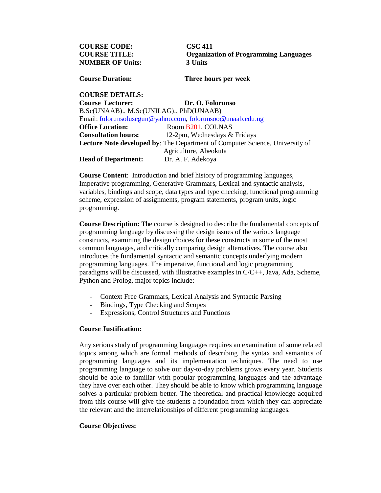| <b>COURSE CODE:</b>     | <b>CSC 411</b>                               |
|-------------------------|----------------------------------------------|
| <b>COURSE TITLE:</b>    | <b>Organization of Programming Languages</b> |
| <b>NUMBER OF Units:</b> | 3 Units                                      |
| <b>Course Duration:</b> | Three hours per week                         |
| <b>COURSE DETAILS:</b>  |                                              |

| <b>Course Lecturer:</b>                 | Dr. O. Folorunso                                                                    |
|-----------------------------------------|-------------------------------------------------------------------------------------|
| B.Sc(UNAAB)., M.Sc(UNILAG)., PhD(UNAAB) |                                                                                     |
|                                         | Email: folorunsolusegun@yahoo.com, folorunsoo@unaab.edu.ng                          |
| <b>Office Location:</b>                 | Room B201, COLNAS                                                                   |
| <b>Consultation hours:</b>              | 12-2pm, Wednesdays & Fridays                                                        |
|                                         | <b>Lecture Note developed by:</b> The Department of Computer Science, University of |
|                                         | Agriculture, Abeokuta                                                               |
| <b>Head of Department:</b>              | Dr. A. F. Adekoya                                                                   |

**Course Content**: Introduction and brief history of programming languages, Imperative programming, Generative Grammars, Lexical and syntactic analysis, variables, bindings and scope, data types and type checking, functional programming scheme, expression of assignments, program statements, program units, logic programming.

**Course Description:** The course is designed to describe the fundamental concepts of programming language by discussing the design issues of the various language constructs, examining the design choices for these constructs in some of the most common languages, and critically comparing design alternatives. The course also introduces the fundamental syntactic and semantic concepts underlying modern programming languages. The imperative, functional and logic programming paradigms will be discussed, with illustrative examples in C/C++, Java, Ada, Scheme, Python and Prolog, major topics include:

- Context Free Grammars, Lexical Analysis and Syntactic Parsing
- Bindings, Type Checking and Scopes
- Expressions, Control Structures and Functions

# **Course Justification:**

Any serious study of programming languages requires an examination of some related topics among which are formal methods of describing the syntax and semantics of programming languages and its implementation techniques. The need to use programming language to solve our day-to-day problems grows every year. Students should be able to familiar with popular programming languages and the advantage they have over each other. They should be able to know which programming language solves a particular problem better. The theoretical and practical knowledge acquired from this course will give the students a foundation from which they can appreciate the relevant and the interrelationships of different programming languages.

#### **Course Objectives:**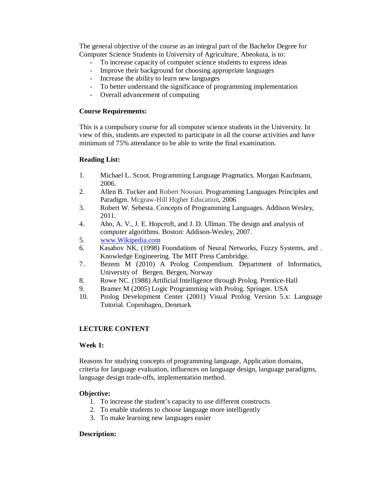The general objective of the course as an integral part of the Bachelor Degree for Computer Science Students in University of Agriculture, Abeokuta, is to:

- To increase capacity of computer science students to express ideas
- Improve their background for choosing appropriate languages
- Increase the ability to learn new languages
- To better understand the significance of programming implementation
- Overall advancement of computing

# **Course Requirements:**

This is a compulsory course for all computer science students in the University. In view of this, students are expected to participate in all the course activities and have minimum of 75% attendance to be able to write the final examination.

# **Reading List:**

- 1. Michael L. Scoot. Programming Language Pragmatics. Morgan Kaufmann, 2006.
- 2. Allen B. Tucker and Robert Noonan. Programming Languages Principles and Paradigm. Mcgraw-Hill Higher Education, 2006
- 3. Robert W. Sebesta. Concepts of Programming Languages. Addison Wesley, 2011.
- 4. Aho, A. V., J. E. Hopcroft, and J. D. Ullman. The design and analysis of computer algorithms. Boston: Addison-Wesley, 2007.
- 5. www.Wikipedia.com
- 6. Kasabov NK, (1998) Foundations of Neural Networks, Fuzzy Systems, and . Knowledge Engineering. The MIT Press Cambridge.
- 7. Bezem M (2010) A Prolog Compendium. Department of Informatics, University of Bergen. Bergen, Norway
- 8. Rowe NC. (1988) Artificial Intelligence through Prolog. Prentice-Hall
- 9. Bramer M (2005) Logic Programming with Prolog. Springer. USA
- 10. Prolog Development Center (2001) Visual Prolog Version 5.x: Language Tutorial. Copenhagen, Denmark

# **LECTURE CONTENT**

# **Week 1:**

Reasons for studying concepts of programming language, Application domains, criteria for language evaluation, influences on language design, language paradigms, language design trade-offs, implementation method.

# **Objective:**

- 1. To increase the student's capacity to use different constructs
- 2. To enable students to choose language more intelligently
- 3. To make learning new languages easier

# **Description:**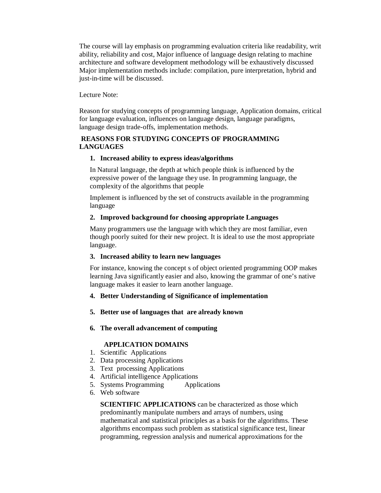The course will lay emphasis on programming evaluation criteria like readability, writ ability, reliability and cost, Major influence of language design relating to machine architecture and software development methodology will be exhaustively discussed Major implementation methods include: compilation, pure interpretation, hybrid and just-in-time will be discussed.

Lecture Note:

Reason for studying concepts of programming language, Application domains, critical for language evaluation, influences on language design, language paradigms, language design trade-offs, implementation methods.

# **REASONS FOR STUDYING CONCEPTS OF PROGRAMMING LANGUAGES**

### **1. Increased ability to express ideas/algorithms**

In Natural language, the depth at which people think is influenced by the expressive power of the language they use. In programming language, the complexity of the algorithms that people

Implement is influenced by the set of constructs available in the programming language

#### **2. Improved background for choosing appropriate Languages**

Many programmers use the language with which they are most familiar, even though poorly suited for their new project. It is ideal to use the most appropriate language.

#### **3. Increased ability to learn new languages**

For instance, knowing the concept s of object oriented programming OOP makes learning Java significantly easier and also, knowing the grammar of one's native language makes it easier to learn another language.

# **4. Better Understanding of Significance of implementation**

- **5. Better use of languages that are already known**
- **6. The overall advancement of computing**

# **APPLICATION DOMAINS**

- 1. Scientific Applications
- 2. Data processing Applications
- 3. Text processing Applications
- 4. Artificial intelligence Applications
- 5. Systems Programming Applications
- 6. Web software

**SCIENTIFIC APPLICATIONS** can be characterized as those which predominantly manipulate numbers and arrays of numbers, using mathematical and statistical principles as a basis for the algorithms. These algorithms encompass such problem as statistical significance test, linear programming, regression analysis and numerical approximations for the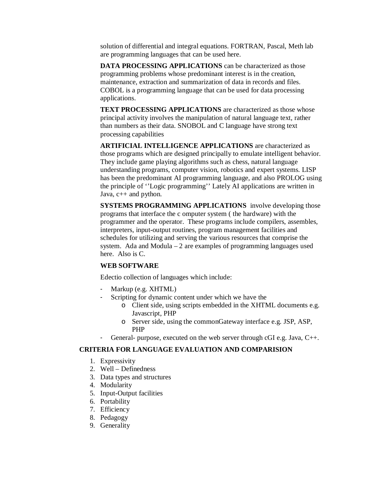solution of differential and integral equations. FORTRAN, Pascal, Meth lab are programming languages that can be used here.

**DATA PROCESSING APPLICATIONS** can be characterized as those programming problems whose predominant interest is in the creation, maintenance, extraction and summarization of data in records and files. COBOL is a programming language that can be used for data processing applications.

**TEXT PROCESSING APPLICATIONS** are characterized as those whose principal activity involves the manipulation of natural language text, rather than numbers as their data. SNOBOL and C language have strong text processing capabilities

**ARTIFICIAL INTELLIGENCE APPLICATIONS** are characterized as those programs which are designed principally to emulate intelligent behavior. They include game playing algorithms such as chess, natural language understanding programs, computer vision, robotics and expert systems. LISP has been the predominant AI programming language, and also PROLOG using the principle of ''Logic programming'' Lately AI applications are written in Java, c++ and python.

**SYSTEMS PROGRAMMING APPLICATIONS** involve developing those programs that interface the c omputer system ( the hardware) with the programmer and the operator. These programs include compilers, assembles, interpreters, input-output routines, program management facilities and schedules for utilizing and serving the various resources that comprise the system. Ada and Modula  $-2$  are examples of programming languages used here. Also is C.

# **WEB SOFTWARE**

Edectio collection of languages which include:

- Markup (e.g. XHTML)
- Scripting for dynamic content under which we have the
	- o Client side, using scripts embedded in the XHTML documents e.g. Javascript, PHP
	- o Server side, using the commonGateway interface e.g. JSP, ASP, PHP
	- General- purpose, executed on the web server through cGI e.g. Java,  $C_{++}$ .

#### **CRITERIA FOR LANGUAGE EVALUATION AND COMPARISION**

- 1. Expressivity
- 2. Well Definedness
- 3. Data types and structures
- 4. Modularity
- 5. Input-Output facilities
- 6. Portability
- 7. Efficiency
- 8. Pedagogy
- 9. Generality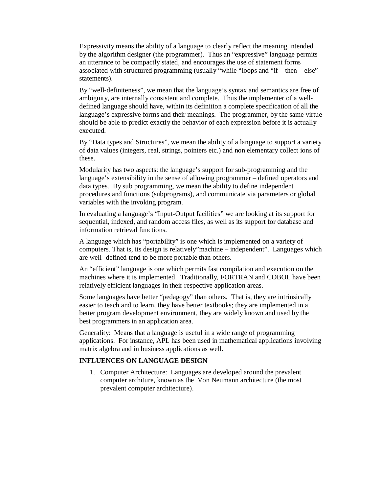Expressivity means the ability of a language to clearly reflect the meaning intended by the algorithm designer (the programmer). Thus an "expressive" language permits an utterance to be compactly stated, and encourages the use of statement forms associated with structured programming (usually "while "loops and "if – then – else" statements).

By "well-definiteness", we mean that the language's syntax and semantics are free of ambiguity, are internally consistent and complete. Thus the implementer of a welldefined language should have, within its definition a complete specification of all the language's expressive forms and their meanings. The programmer, by the same virtue should be able to predict exactly the behavior of each expression before it is actually executed.

By "Data types and Structures", we mean the ability of a language to support a variety of data values (integers, real, strings, pointers etc.) and non elementary collect ions of these.

Modularity has two aspects: the language's support for sub-programming and the language's extensibility in the sense of allowing programmer – defined operators and data types. By sub programming, we mean the ability to define independent procedures and functions (subprograms), and communicate via parameters or global variables with the invoking program.

In evaluating a language's "Input-Output facilities" we are looking at its support for sequential, indexed, and random access files, as well as its support for database and information retrieval functions.

A language which has "portability" is one which is implemented on a variety of computers. That is, its design is relatively"machine – independent". Languages which are well- defined tend to be more portable than others.

An "efficient" language is one which permits fast compilation and execution on the machines where it is implemented. Traditionally, FORTRAN and COBOL have been relatively efficient languages in their respective application areas.

Some languages have better "pedagogy" than others. That is, they are intrinsically easier to teach and to learn, they have better textbooks; they are implemented in a better program development environment, they are widely known and used by the best programmers in an application area.

Generality: Means that a language is useful in a wide range of programming applications. For instance, APL has been used in mathematical applications involving matrix algebra and in business applications as well.

# **INFLUENCES ON LANGUAGE DESIGN**

1. Computer Architecture: Languages are developed around the prevalent computer architure, known as the Von Neumann architecture (the most prevalent computer architecture).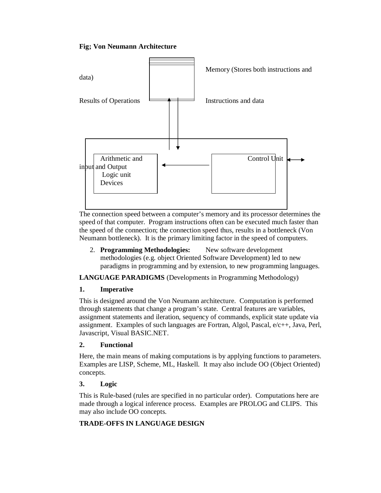# **Fig; Von Neumann Architecture**



The connection speed between a computer's memory and its processor determines the speed of that computer. Program instructions often can be executed much faster than the speed of the connection; the connection speed thus, results in a bottleneck (Von Neumann bottleneck). It is the primary limiting factor in the speed of computers.

2. **Programming Methodologies:** New software development methodologies (e.g. object Oriented Software Development) led to new paradigms in programming and by extension, to new programming languages.

**LANGUAGE PARADIGMS** (Developments in Programming Methodology)

# **1. Imperative**

This is designed around the Von Neumann architecture. Computation is performed through statements that change a program's state. Central features are variables, assignment statements and ileration, sequency of commands, explicit state update via assignment. Examples of such languages are Fortran, Algol, Pascal, e/c++, Java, Perl, Javascript, Visual BASIC.NET.

# **2. Functional**

Here, the main means of making computations is by applying functions to parameters. Examples are LISP, Scheme, ML, Haskell. It may also include OO (Object Oriented) concepts.

# **3. Logic**

This is Rule-based (rules are specified in no particular order). Computations here are made through a logical inference process. Examples are PROLOG and CLIPS. This may also include OO concepts.

# **TRADE-OFFS IN LANGUAGE DESIGN**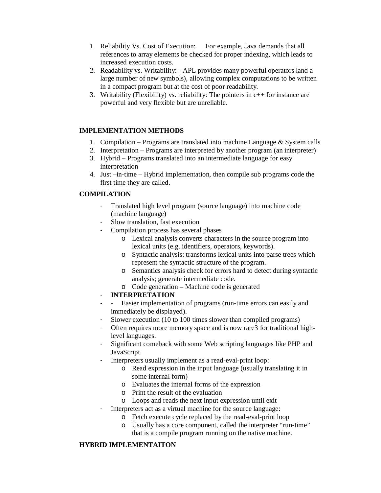- 1. Reliability Vs. Cost of Execution: For example, Java demands that all references to array elements be checked for proper indexing, which leads to increased execution costs.
- 2. Readability vs. Writability: APL provides many powerful operators land a large number of new symbols), allowing complex computations to be written in a compact program but at the cost of poor readability.
- 3. Writability (Flexibility) vs. reliability: The pointers in c++ for instance are powerful and very flexible but are unreliable.

# **IMPLEMENTATION METHODS**

- 1. Compilation Programs are translated into machine Language  $&$  System calls
- 2. Interpretation Programs are interpreted by another program (an interpreter)
- 3. Hybrid Programs translated into an intermediate language for easy interpretation
- 4. Just –in-time Hybrid implementation, then compile sub programs code the first time they are called.

# **COMPILATION**

- Translated high level program (source language) into machine code (machine language)
- Slow translation, fast execution
- Compilation process has several phases
	- o Lexical analysis converts characters in the source program into lexical units (e.g. identifiers, operators, keywords).
	- o Syntactic analysis: transforms lexical units into parse trees which represent the syntactic structure of the program.
	- o Semantics analysis check for errors hard to detect during syntactic analysis; generate intermediate code.
	- o Code generation Machine code is generated
- **INTERPRETATION**
- - Easier implementation of programs (run-time errors can easily and immediately be displayed).
- Slower execution (10 to 100 times slower than compiled programs)
- Often requires more memory space and is now rare3 for traditional highlevel languages.
- Significant comeback with some Web scripting languages like PHP and JavaScript.
- Interpreters usually implement as a read-eval-print loop:
	- o Read expression in the input language (usually translating it in some internal form)
	- o Evaluates the internal forms of the expression
	- o Print the result of the evaluation
	- o Loops and reads the next input expression until exit
- Interpreters act as a virtual machine for the source language:
	- o Fetch execute cycle replaced by the read-eval-print loop
	- o Usually has a core component, called the interpreter "run-time" that is a compile program running on the native machine.

# **HYBRID IMPLEMENTAITON**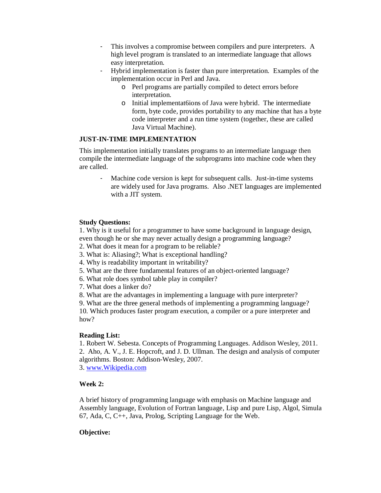- This involves a compromise between compilers and pure interpreters. A high level program is translated to an intermediate language that allows easy interpretation.
- Hybrid implementation is faster than pure interpretation. Examples of the implementation occur in Perl and Java.
	- o Perl programs are partially compiled to detect errors before interpretation.
	- o Initial implementat6ions of Java were hybrid. The intermediate form, byte code, provides portability to any machine that has a byte code interpreter and a run time system (together, these are called Java Virtual Machine).

# **JUST-IN-TIME IMPLEMENTATION**

This implementation initially translates programs to an intermediate language then compile the intermediate language of the subprograms into machine code when they are called.

- Machine code version is kept for subsequent calls. Just-in-time systems are widely used for Java programs. Also .NET languages are implemented with a JIT system.

### **Study Questions:**

1. Why is it useful for a programmer to have some background in language design, even though he or she may never actually design a programming language?

- 2. What does it mean for a program to be reliable?
- 3. What is: Aliasing?; What is exceptional handling?
- 4. Why is readability important in writability?
- 5. What are the three fundamental features of an object-oriented language?
- 6. What role does symbol table play in compiler?
- 7. What does a linker do?
- 8. What are the advantages in implementing a language with pure interpreter?

9. What are the three general methods of implementing a programming language?

10. Which produces faster program execution, a compiler or a pure interpreter and how?

#### **Reading List:**

1. Robert W. Sebesta. Concepts of Programming Languages. Addison Wesley, 2011. 2. Aho, A. V., J. E. Hopcroft, and J. D. Ullman. The design and analysis of computer algorithms. Boston: Addison-Wesley, 2007.

3. www.Wikipedia.com

# **Week 2:**

A brief history of programming language with emphasis on Machine language and Assembly language, Evolution of Fortran language, Lisp and pure Lisp, Algol, Simula 67, Ada, C, C++, Java, Prolog, Scripting Language for the Web.

# **Objective:**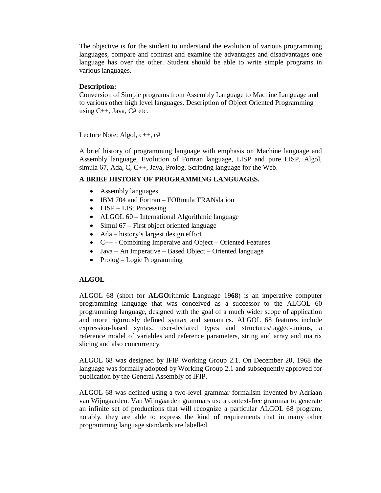The objective is for the student to understand the evolution of various programming languages, compare and contrast and examine the advantages and disadvantages one language has over the other. Student should be able to write simple programs in various languages.

# **Description:**

Conversion of Simple programs from Assembly Language to Machine Language and to various other high level languages. Description of Object Oriented Programming using  $C_{++}$ , Java,  $C_{+}$  etc.

Lecture Note: Algol, c++, c#

A brief history of programming language with emphasis on Machine language and Assembly language, Evolution of Fortran language, LISP and pure LISP, Algol, simula 67, Ada, C, C++, Java, Prolog, Scripting language for the Web.

# **A BRIEF HISTORY OF PROGRAMMING LANGUAGES.**

- Assembly languages
- IBM 704 and Fortran FORmula TRANslation
- LISP LISt Processing
- ALGOL 60 International Algorithmic language
- Simul  $67$  First object oriented language
- Ada history's largest design effort
- C++ Combining Imperaive and Object Oriented Features
- Java An Imperative Based Object Oriented language
- Prolog Logic Programming

# **ALGOL**

ALGOL 68 (short for **ALGO**rithmic **L**anguage 19**68**) is an imperative computer programming language that was conceived as a successor to the ALGOL 60 programming language, designed with the goal of a much wider scope of application and more rigorously defined syntax and semantics. ALGOL 68 features include expression-based syntax, user-declared types and structures/tagged-unions, a reference model of variables and reference parameters, string and array and matrix slicing and also concurrency.

ALGOL 68 was designed by IFIP Working Group 2.1. On December 20, 1968 the language was formally adopted by Working Group 2.1 and subsequently approved for publication by the General Assembly of IFIP.

ALGOL 68 was defined using a two-level grammar formalism invented by Adriaan van Wijngaarden. Van Wijngaarden grammars use a context-free grammar to generate an infinite set of productions that will recognize a particular ALGOL 68 program; notably, they are able to express the kind of requirements that in many other programming language standards are labelled.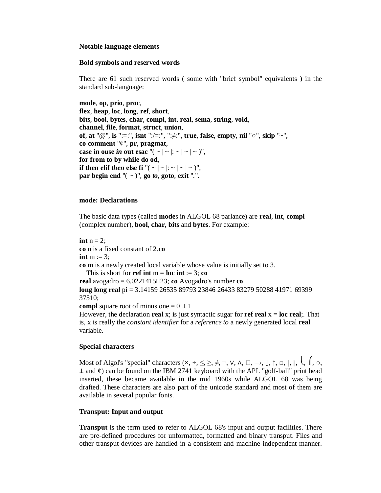#### **Notable language elements**

#### **Bold symbols and reserved words**

There are 61 such reserved words ( some with "brief symbol" equivalents ) in the standard sub-language:

**mode**, **op**, **prio**, **proc**, **flex**, **heap**, **loc**, **long**, **ref**, **short**, **bits**, **bool**, **bytes**, **char**, **compl**, **int**, **real**, **sema**, **string**, **void**, **channel**, **file**, **format**, **struct**, **union**, **of**, **at** "@", **is** ":=:", **isnt** ":/=:", ":≠:", **true**, **false**, **empty**, **nil** "○", **skip** "~", **co comment** "¢", **pr**, **pragmat**, **case in ouse** *in* **out esac** "( ~  $| \cdot |$  =  $| \cdot |$  ~  $|$  ~  $|$  ", **for from to by while do od**, **if** then **elif** *then* **else fi** "( ~  $| \sim | \sim | \sim | \sim | \sim |$ ", **par begin end** " $(\sim)$ ", **go** *to*, **goto**, **exit** ".".

#### **mode: Declarations**

The basic data types (called **mode**s in ALGOL 68 parlance) are **real**, **int**, **compl** (complex number), **bool**, **char**, **bits** and **bytes**. For example:

**int**  $n = 2$ ; **co** n is a fixed constant of 2.**co int** m := 3: **co** m is a newly created local variable whose value is initially set to 3. This is short for **ref** int  $m = loc$  int := 3; co **real** avogadro =  $6.0221415 \square 23$ ; **co** Avogadro's number **co long long real** pi = 3.14159 26535 89793 23846 26433 83279 50288 41971 69399 37510; **compl** square root of minus one =  $0 \perp 1$ However, the declaration **real** x; is just syntactic sugar for **ref real**  $x =$  **loc real**;. That is, x is really the *constant identifier* for a *reference to* a newly generated local **real** variable.

# **Special characters**

Most of Algol's "special" characters  $(x, \div, \leq, \geq, \neq, \neg, \vee, \wedge, \Box, \rightarrow, \downarrow, \uparrow, \Box, \downharpoonright, \langle , \vert , \varphi, \varphi \rangle$  $\perp$  and  $\varphi$ ) can be found on the IBM 2741 keyboard with the APL "golf-ball" print head inserted, these became available in the mid 1960s while ALGOL 68 was being drafted. These characters are also part of the unicode standard and most of them are available in several popular fonts.

#### **Transput: Input and output**

**Transput** is the term used to refer to ALGOL 68's input and output facilities. There are pre-defined procedures for unformatted, formatted and binary transput. Files and other transput devices are handled in a consistent and machine-independent manner.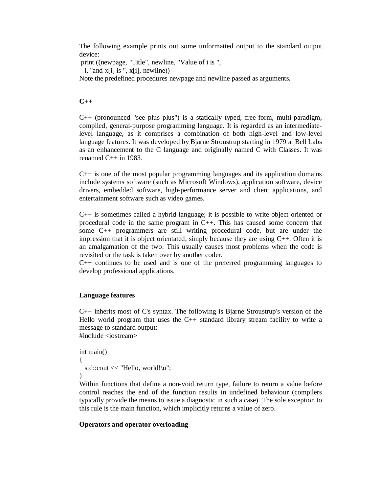The following example prints out some unformatted output to the standard output device:

print ((newpage, "Title", newline, "Value of i is ",

i, "and  $x[i]$  is ",  $x[i]$ , newline))

Note the predefined procedures newpage and newline passed as arguments.

# **C++**

C++ (pronounced "see plus plus") is a statically typed, free-form, multi-paradigm, compiled, general-purpose programming language. It is regarded as an intermediatelevel language, as it comprises a combination of both high-level and low-level language features. It was developed by Bjarne Stroustrup starting in 1979 at Bell Labs as an enhancement to the C language and originally named C with Classes. It was renamed  $C_{++}$  in 1983.

C++ is one of the most popular programming languages and its application domains include systems software (such as Microsoft Windows), application software, device drivers, embedded software, high-performance server and client applications, and entertainment software such as video games.

C++ is sometimes called a hybrid language; it is possible to write object oriented or procedural code in the same program in C++. This has caused some concern that some C++ programmers are still writing procedural code, but are under the impression that it is object orientated, simply because they are using  $C_{++}$ . Often it is an amalgamation of the two. This usually causes most problems when the code is revisited or the task is taken over by another coder.

C++ continues to be used and is one of the preferred programming languages to develop professional applications.

# **Language features**

C++ inherits most of C's syntax. The following is Bjarne Stroustrup's version of the Hello world program that uses the  $C_{++}$  standard library stream facility to write a message to standard output:

#include <iostream>

```
int main()
{
   std::cout << "Hello, world!\n";
}
```
Within functions that define a non-void return type, failure to return a value before control reaches the end of the function results in undefined behaviour (compilers typically provide the means to issue a diagnostic in such a case). The sole exception to this rule is the main function, which implicitly returns a value of zero.

#### **Operators and operator overloading**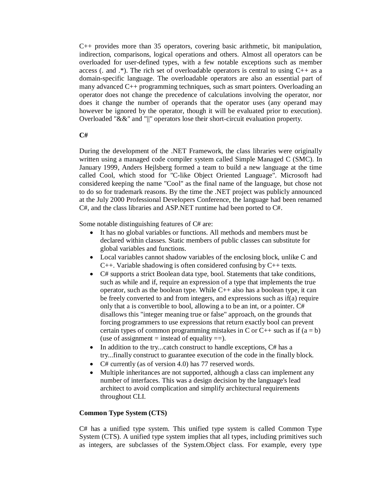C++ provides more than 35 operators, covering basic arithmetic, bit manipulation, indirection, comparisons, logical operations and others. Almost all operators can be overloaded for user-defined types, with a few notable exceptions such as member access (. and .\*). The rich set of overloadable operators is central to using  $C_{++}$  as a domain-specific language. The overloadable operators are also an essential part of many advanced C++ programming techniques, such as smart pointers. Overloading an operator does not change the precedence of calculations involving the operator, nor does it change the number of operands that the operator uses (any operand may however be ignored by the operator, though it will be evaluated prior to execution). Overloaded "&&" and "||" operators lose their short-circuit evaluation property.

# **C#**

During the development of the .NET Framework, the class libraries were originally written using a managed code compiler system called Simple Managed C (SMC). In January 1999, Anders Hejlsberg formed a team to build a new language at the time called Cool, which stood for "C-like Object Oriented Language". Microsoft had considered keeping the name "Cool" as the final name of the language, but chose not to do so for trademark reasons. By the time the .NET project was publicly announced at the July 2000 Professional Developers Conference, the language had been renamed C#, and the class libraries and ASP.NET runtime had been ported to C#.

Some notable distinguishing features of C# are:

- It has no global variables or functions. All methods and members must be declared within classes. Static members of public classes can substitute for global variables and functions.
- Local variables cannot shadow variables of the enclosing block, unlike C and C++. Variable shadowing is often considered confusing by C++ texts.
- C# supports a strict Boolean data type, bool. Statements that take conditions, such as while and if, require an expression of a type that implements the true operator, such as the boolean type. While  $C++$  also has a boolean type, it can be freely converted to and from integers, and expressions such as if(a) require only that a is convertible to bool, allowing a to be an int, or a pointer. C# disallows this "integer meaning true or false" approach, on the grounds that forcing programmers to use expressions that return exactly bool can prevent certain types of common programming mistakes in C or C++ such as if  $(a = b)$ (use of assignment = instead of equality ==).
- In addition to the try...catch construct to handle exceptions, C# has a try...finally construct to guarantee execution of the code in the finally block.
- C# currently (as of version 4.0) has 77 reserved words.
- Multiple inheritances are not supported, although a class can implement any number of interfaces. This was a design decision by the language's lead architect to avoid complication and simplify architectural requirements throughout CLI.

#### **Common Type System (CTS)**

C# has a unified type system. This unified type system is called Common Type System (CTS). A unified type system implies that all types, including primitives such as integers, are subclasses of the System.Object class. For example, every type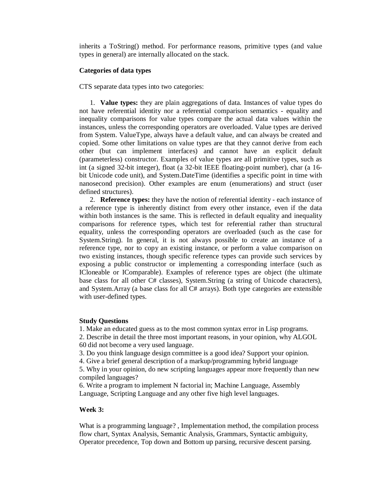inherits a ToString() method. For performance reasons, primitive types (and value types in general) are internally allocated on the stack.

#### **Categories of data types**

CTS separate data types into two categories:

1. **Value types:** they are plain aggregations of data. Instances of value types do not have referential identity nor a referential comparison semantics - equality and inequality comparisons for value types compare the actual data values within the instances, unless the corresponding operators are overloaded. Value types are derived from System. ValueType, always have a default value, and can always be created and copied. Some other limitations on value types are that they cannot derive from each other (but can implement interfaces) and cannot have an explicit default (parameterless) constructor. Examples of value types are all primitive types, such as int (a signed 32-bit integer), float (a 32-bit IEEE floating-point number), char (a 16 bit Unicode code unit), and System.DateTime (identifies a specific point in time with nanosecond precision). Other examples are enum (enumerations) and struct (user defined structures).

2. **Reference types:** they have the notion of referential identity - each instance of a reference type is inherently distinct from every other instance, even if the data within both instances is the same. This is reflected in default equality and inequality comparisons for reference types, which test for referential rather than structural equality, unless the corresponding operators are overloaded (such as the case for System.String). In general, it is not always possible to create an instance of a reference type, nor to copy an existing instance, or perform a value comparison on two existing instances, though specific reference types can provide such services by exposing a public constructor or implementing a corresponding interface (such as ICloneable or IComparable). Examples of reference types are object (the ultimate base class for all other C# classes), System.String (a string of Unicode characters), and System.Array (a base class for all C# arrays). Both type categories are extensible with user-defined types.

#### **Study Questions**

1. Make an educated guess as to the most common syntax error in Lisp programs.

2. Describe in detail the three most important reasons, in your opinion, why ALGOL 60 did not become a very used language.

3. Do you think language design committee is a good idea? Support your opinion.

4. Give a brief general description of a markup/programming hybrid language

5. Why in your opinion, do new scripting languages appear more frequently than new compiled languages?

6. Write a program to implement N factorial in; Machine Language, Assembly Language, Scripting Language and any other five high level languages.

#### **Week 3:**

What is a programming language? , Implementation method, the compilation process flow chart, Syntax Analysis, Semantic Analysis, Grammars, Syntactic ambiguity, Operator precedence, Top down and Bottom up parsing, recursive descent parsing.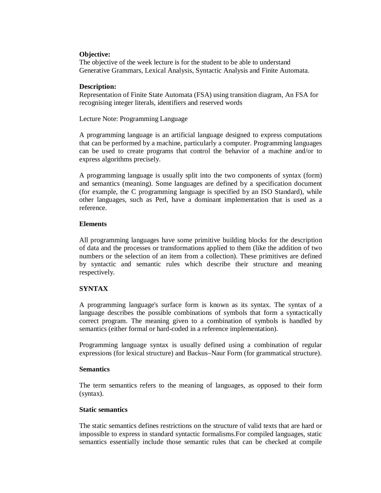# **Objective:**

The objective of the week lecture is for the student to be able to understand Generative Grammars, Lexical Analysis, Syntactic Analysis and Finite Automata.

#### **Description:**

Representation of Finite State Automata (FSA) using transition diagram, An FSA for recognising integer literals, identifiers and reserved words

Lecture Note: Programming Language

A programming language is an artificial language designed to express computations that can be performed by a machine, particularly a computer. Programming languages can be used to create programs that control the behavior of a machine and/or to express algorithms precisely.

A programming language is usually split into the two components of syntax (form) and semantics (meaning). Some languages are defined by a specification document (for example, the C programming language is specified by an ISO Standard), while other languages, such as Perl, have a dominant implementation that is used as a reference.

# **Elements**

All programming languages have some primitive building blocks for the description of data and the processes or transformations applied to them (like the addition of two numbers or the selection of an item from a collection). These primitives are defined by syntactic and semantic rules which describe their structure and meaning respectively.

# **SYNTAX**

A programming language's surface form is known as its syntax. The syntax of a language describes the possible combinations of symbols that form a syntactically correct program. The meaning given to a combination of symbols is handled by semantics (either formal or hard-coded in a reference implementation).

Programming language syntax is usually defined using a combination of regular expressions (for lexical structure) and Backus–Naur Form (for grammatical structure).

# **Semantics**

The term semantics refers to the meaning of languages, as opposed to their form (syntax).

## **Static semantics**

The static semantics defines restrictions on the structure of valid texts that are hard or impossible to express in standard syntactic formalisms.For compiled languages, static semantics essentially include those semantic rules that can be checked at compile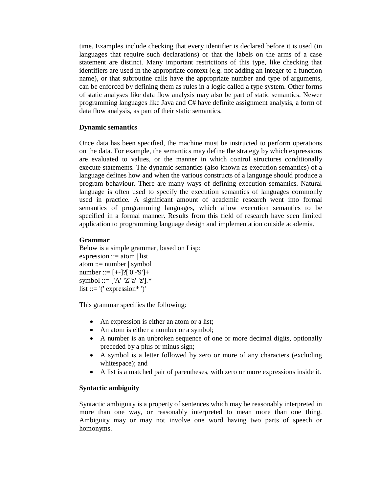time. Examples include checking that every identifier is declared before it is used (in languages that require such declarations) or that the labels on the arms of a case statement are distinct. Many important restrictions of this type, like checking that identifiers are used in the appropriate context (e.g. not adding an integer to a function name), or that subroutine calls have the appropriate number and type of arguments, can be enforced by defining them as rules in a logic called a type system. Other forms of static analyses like data flow analysis may also be part of static semantics. Newer programming languages like Java and C# have definite assignment analysis, a form of data flow analysis, as part of their static semantics.

# **Dynamic semantics**

Once data has been specified, the machine must be instructed to perform operations on the data. For example, the semantics may define the strategy by which expressions are evaluated to values, or the manner in which control structures conditionally execute statements. The dynamic semantics (also known as execution semantics) of a language defines how and when the various constructs of a language should produce a program behaviour. There are many ways of defining execution semantics. Natural language is often used to specify the execution semantics of languages commonly used in practice. A significant amount of academic research went into formal semantics of programming languages, which allow execution semantics to be specified in a formal manner. Results from this field of research have seen limited application to programming language design and implementation outside academia.

# **Grammar**

Below is a simple grammar, based on Lisp:  $expression ::= atom | list$  $atom ::= number | symbol$ number ::=  $[+-]$ ?['0'-'9']+ symbol ::=  $[A'-Z''a'-Z'].*$ list ::= '(' expression\* ')'

This grammar specifies the following:

- An expression is either an atom or a list;
- An atom is either a number or a symbol;
- A number is an unbroken sequence of one or more decimal digits, optionally preceded by a plus or minus sign;
- A symbol is a letter followed by zero or more of any characters (excluding whitespace); and
- A list is a matched pair of parentheses, with zero or more expressions inside it.

#### **Syntactic ambiguity**

Syntactic ambiguity is a property of sentences which may be reasonably interpreted in more than one way, or reasonably interpreted to mean more than one thing. Ambiguity may or may not involve one word having two parts of speech or homonyms.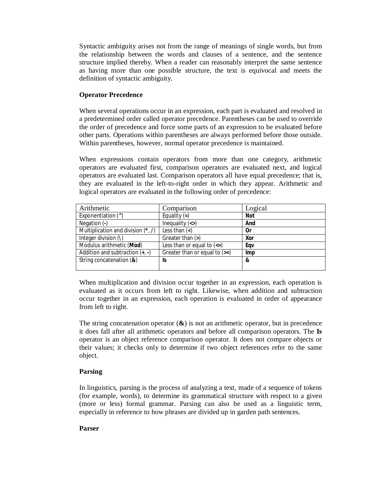Syntactic ambiguity arises not from the range of meanings of single words, but from the relationship between the words and clauses of a sentence, and the sentence structure implied thereby. When a reader can reasonably interpret the same sentence as having more than one possible structure, the text is equivocal and meets the definition of syntactic ambiguity.

# **Operator Precedence**

When several operations occur in an expression, each part is evaluated and resolved in a predetermined order called operator precedence. Parentheses can be used to override the order of precedence and force some parts of an expression to be evaluated before other parts. Operations within parentheses are always performed before those outside. Within parentheses, however, normal operator precedence is maintained.

When expressions contain operators from more than one category, arithmetic operators are evaluated first, comparison operators are evaluated next, and logical operators are evaluated last. Comparison operators all have equal precedence; that is, they are evaluated in the left-to-right order in which they appear. Arithmetic and logical operators are evaluated in the following order of precedence:

| Arithmetic                                 | Comparison                                | Logical    |
|--------------------------------------------|-------------------------------------------|------------|
| Exponentiation (^)                         | Equality $(=)$                            | <b>Not</b> |
| Negation (-)                               | Inequality $(\le)$                        | And        |
| Multiplication and division $(*, \Lambda)$ | Less than $(\le)$                         | Or         |
| Integer division (\)                       | Greater than (>)                          | Xor        |
| Modulus arithmetic (Mod)                   | Less than or equal to $\left(\leq\right)$ | Eav        |
| Addition and subtraction $(+, -)$          | Greater than or equal to $(>=)$           | Imp        |
| String concatenation $(8)$                 | ls                                        | &          |
|                                            |                                           |            |

When multiplication and division occur together in an expression, each operation is evaluated as it occurs from left to right. Likewise, when addition and subtraction occur together in an expression, each operation is evaluated in order of appearance from left to right.

The string concatenation operator  $(\mathbf{\&})$  is not an arithmetic operator, but in precedence it does fall after all arithmetic operators and before all comparison operators. The **Is** operator is an object reference comparison operator. It does not compare objects or their values; it checks only to determine if two object references refer to the same object.

# **Parsing**

In linguistics, parsing is the process of analyzing a text, made of a sequence of tokens (for example, words), to determine its grammatical structure with respect to a given (more or less) formal grammar. Parsing can also be used as a linguistic term, especially in reference to how phrases are divided up in garden path sentences.

# **Parser**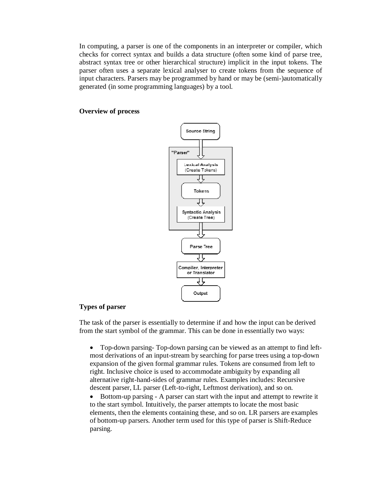In computing, a parser is one of the components in an interpreter or compiler, which checks for correct syntax and builds a data structure (often some kind of parse tree, abstract syntax tree or other hierarchical structure) implicit in the input tokens. The parser often uses a separate lexical analyser to create tokens from the sequence of input characters. Parsers may be programmed by hand or may be (semi-)automatically generated (in some programming languages) by a tool.

#### **Overview of process**



#### **Types of parser**

The task of the parser is essentially to determine if and how the input can be derived from the start symbol of the grammar. This can be done in essentially two ways:

• Top-down parsing- Top-down parsing can be viewed as an attempt to find leftmost derivations of an input-stream by searching for parse trees using a top-down expansion of the given formal grammar rules. Tokens are consumed from left to right. Inclusive choice is used to accommodate ambiguity by expanding all alternative right-hand-sides of grammar rules. Examples includes: Recursive descent parser, LL parser (Left-to-right, Leftmost derivation), and so on.

 Bottom-up parsing - A parser can start with the input and attempt to rewrite it to the start symbol. Intuitively, the parser attempts to locate the most basic elements, then the elements containing these, and so on. LR parsers are examples of bottom-up parsers. Another term used for this type of parser is Shift-Reduce parsing.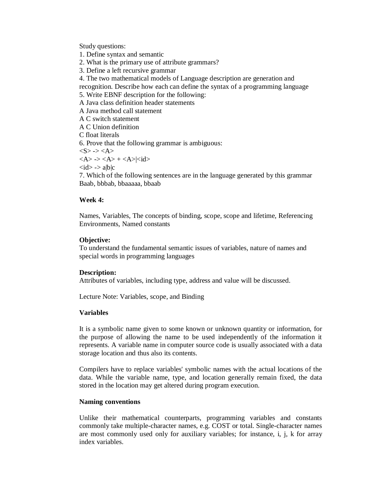Study questions:

1. Define syntax and semantic

2. What is the primary use of attribute grammars?

3. Define a left recursive grammar

4. The two mathematical models of Language description are generation and

recognition. Describe how each can define the syntax of a programming language

5. Write EBNF description for the following:

A Java class definition header statements

A Java method call statement

A C switch statement

A C Union definition

C float literals

6. Prove that the following grammar is ambiguous:

 $\langle$ S> ->  $\langle$ A>

 $\langle A \rangle \Rightarrow \langle A \rangle + \langle A \rangle \langle \text{id} \rangle$ 

 $\langle$ id $\rangle$  -> a|b|c

7. Which of the following sentences are in the language generated by this grammar Baab, bbbab, bbaaaaa, bbaab

# **Week 4:**

Names, Variables, The concepts of binding, scope, scope and lifetime, Referencing Environments, Named constants

# **Objective:**

To understand the fundamental semantic issues of variables, nature of names and special words in programming languages

# **Description:**

Attributes of variables, including type, address and value will be discussed.

Lecture Note: Variables, scope, and Binding

# **Variables**

It is a symbolic name given to some known or unknown quantity or information, for the purpose of allowing the name to be used independently of the information it represents. A variable name in computer source code is usually associated with a data storage location and thus also its contents.

Compilers have to replace variables' symbolic names with the actual locations of the data. While the variable name, type, and location generally remain fixed, the data stored in the location may get altered during program execution.

# **Naming conventions**

Unlike their mathematical counterparts, programming variables and constants commonly take multiple-character names, e.g. COST or total. Single-character names are most commonly used only for auxiliary variables; for instance, i, j, k for array index variables.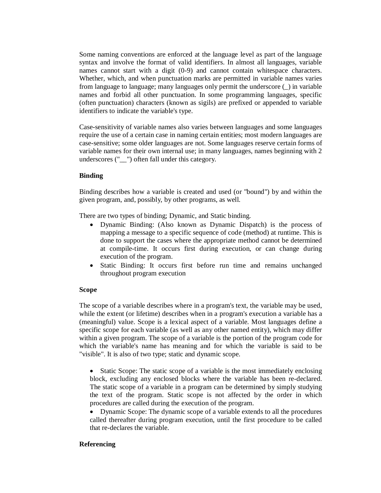Some naming conventions are enforced at the language level as part of the language syntax and involve the format of valid identifiers. In almost all languages, variable names cannot start with a digit (0-9) and cannot contain whitespace characters. Whether, which, and when punctuation marks are permitted in variable names varies from language to language; many languages only permit the underscore (\_) in variable names and forbid all other punctuation. In some programming languages, specific (often punctuation) characters (known as sigils) are prefixed or appended to variable identifiers to indicate the variable's type.

Case-sensitivity of variable names also varies between languages and some languages require the use of a certain case in naming certain entities; most modern languages are case-sensitive; some older languages are not. Some languages reserve certain forms of variable names for their own internal use; in many languages, names beginning with 2 underscores ("\_\_") often fall under this category.

#### **Binding**

Binding describes how a variable is created and used (or "bound") by and within the given program, and, possibly, by other programs, as well.

There are two types of binding; Dynamic, and Static binding.

- Dynamic Binding: (Also known as Dynamic Dispatch) is the process of mapping a message to a specific sequence of code (method) at runtime. This is done to support the cases where the appropriate method cannot be determined at compile-time. It occurs first during execution, or can change during execution of the program.
- Static Binding: It occurs first before run time and remains unchanged throughout program execution

#### **Scope**

The scope of a variable describes where in a program's text, the variable may be used, while the extent (or lifetime) describes when in a program's execution a variable has a (meaningful) value. Scope is a lexical aspect of a variable. Most languages define a specific scope for each variable (as well as any other named entity), which may differ within a given program. The scope of a variable is the portion of the program code for which the variable's name has meaning and for which the variable is said to be "visible". It is also of two type; static and dynamic scope.

 Static Scope: The static scope of a variable is the most immediately enclosing block, excluding any enclosed blocks where the variable has been re-declared. The static scope of a variable in a program can be determined by simply studying the text of the program. Static scope is not affected by the order in which procedures are called during the execution of the program.

 Dynamic Scope: The dynamic scope of a variable extends to all the procedures called thereafter during program execution, until the first procedure to be called that re-declares the variable.

#### **Referencing**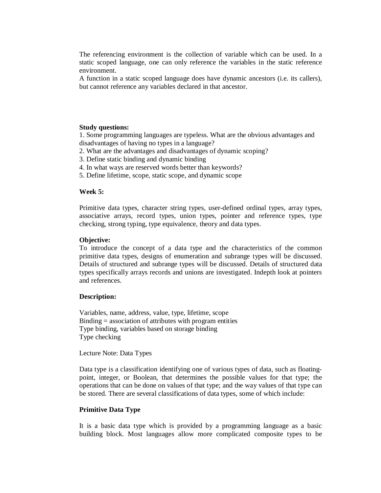The referencing environment is the collection of variable which can be used. In a static scoped language, one can only reference the variables in the static reference environment.

A function in a static scoped language does have dynamic ancestors (i.e. its callers), but cannot reference any variables declared in that ancestor.

#### **Study questions:**

1. Some programming languages are typeless. What are the obvious advantages and disadvantages of having no types in a language?

- 2. What are the advantages and disadvantages of dynamic scoping?
- 3. Define static binding and dynamic binding
- 4. In what ways are reserved words better than keywords?
- 5. Define lifetime, scope, static scope, and dynamic scope

#### **Week 5:**

Primitive data types, character string types, user-defined ordinal types, array types, associative arrays, record types, union types, pointer and reference types, type checking, strong typing, type equivalence, theory and data types.

#### **Objective:**

To introduce the concept of a data type and the characteristics of the common primitive data types, designs of enumeration and subrange types will be discussed. Details of structured and subrange types will be discussed. Details of structured data types specifically arrays records and unions are investigated. Indepth look at pointers and references.

#### **Description:**

Variables, name, address, value, type, lifetime, scope Binding = association of attributes with program entities Type binding, variables based on storage binding Type checking

Lecture Note: Data Types

Data type is a classification identifying one of various types of data, such as floatingpoint, integer, or Boolean, that determines the possible values for that type; the operations that can be done on values of that type; and the way values of that type can be stored. There are several classifications of data types, some of which include:

#### **Primitive Data Type**

It is a basic data type which is provided by a programming language as a basic building block. Most languages allow more complicated composite types to be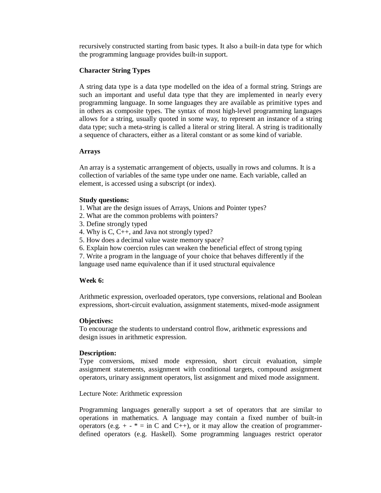recursively constructed starting from basic types. It also a built-in data type for which the programming language provides built-in support.

# **Character String Types**

A string data type is a data type modelled on the idea of a formal string. Strings are such an important and useful data type that they are implemented in nearly every programming language. In some languages they are available as primitive types and in others as composite types. The syntax of most high-level programming languages allows for a string, usually quoted in some way, to represent an instance of a string data type; such a meta-string is called a literal or string literal. A string is traditionally a sequence of characters, either as a literal constant or as some kind of variable.

# **Arrays**

An array is a systematic arrangement of objects, usually in rows and columns. It is a collection of variables of the same type under one name. Each variable, called an element, is accessed using a subscript (or index).

# **Study questions:**

- 1. What are the design issues of Arrays, Unions and Pointer types?
- 2. What are the common problems with pointers?
- 3. Define strongly typed
- 4. Why is C, C++, and Java not strongly typed?
- 5. How does a decimal value waste memory space?
- 6. Explain how coercion rules can weaken the beneficial effect of strong typing

7. Write a program in the language of your choice that behaves differently if the language used name equivalence than if it used structural equivalence

# **Week 6:**

Arithmetic expression, overloaded operators, type conversions, relational and Boolean expressions, short-circuit evaluation, assignment statements, mixed-mode assignment

# **Objectives:**

To encourage the students to understand control flow, arithmetic expressions and design issues in arithmetic expression.

# **Description:**

Type conversions, mixed mode expression, short circuit evaluation, simple assignment statements, assignment with conditional targets, compound assignment operators, urinary assignment operators, list assignment and mixed mode assignment.

Lecture Note: Arithmetic expression

Programming languages generally support a set of operators that are similar to operations in mathematics. A language may contain a fixed number of built-in operators (e.g.  $+$  -  $* =$  in C and C++), or it may allow the creation of programmerdefined operators (e.g. Haskell). Some programming languages restrict operator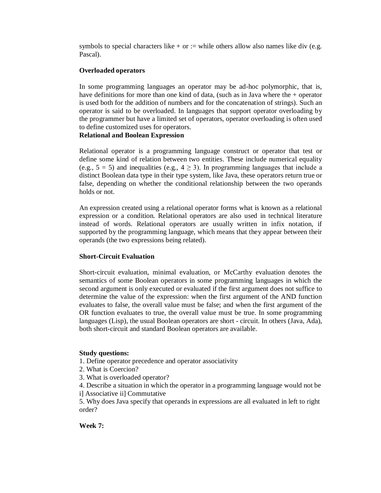symbols to special characters like  $+$  or := while others allow also names like div (e.g. Pascal).

### **Overloaded operators**

In some programming languages an operator may be ad-hoc polymorphic, that is, have definitions for more than one kind of data, (such as in Java where the + operator is used both for the addition of numbers and for the concatenation of strings). Such an operator is said to be overloaded. In languages that support operator overloading by the programmer but have a limited set of operators, operator overloading is often used to define customized uses for operators.

### **Relational and Boolean Expression**

Relational operator is a programming language construct or operator that test or define some kind of relation between two entities. These include numerical equality (e.g.,  $5 = 5$ ) and inequalities (e.g.,  $4 \ge 3$ ). In programming languages that include a distinct Boolean data type in their type system, like Java, these operators return true or false, depending on whether the conditional relationship between the two operands holds or not.

An expression created using a relational operator forms what is known as a relational expression or a condition. Relational operators are also used in technical literature instead of words. Relational operators are usually written in infix notation, if supported by the programming language, which means that they appear between their operands (the two expressions being related).

# **Short-Circuit Evaluation**

Short-circuit evaluation, minimal evaluation, or McCarthy evaluation denotes the semantics of some Boolean operators in some programming languages in which the second argument is only executed or evaluated if the first argument does not suffice to determine the value of the expression: when the first argument of the AND function evaluates to false, the overall value must be false; and when the first argument of the OR function evaluates to true, the overall value must be true. In some programming languages (Lisp), the usual Boolean operators are short - circuit. In others (Java, Ada), both short-circuit and standard Boolean operators are available.

#### **Study questions:**

- 1. Define operator precedence and operator associativity
- 2. What is Coercion?
- 3. What is overloaded operator?
- 4. Describe a situation in which the operator in a programming language would not be
- i] Associative ii] Commutative

5. Why does Java specify that operands in expressions are all evaluated in left to right order?

# **Week 7:**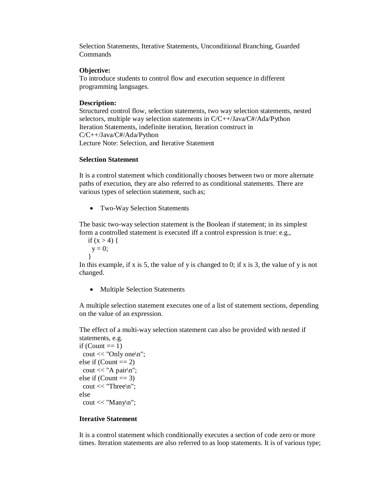Selection Statements, Iterative Statements, Unconditional Branching, Guarded Commands

#### **Objective:**

To introduce students to control flow and execution sequence in different programming languages.

#### **Description:**

Structured control flow, selection statements, two way selection statements, nested selectors, multiple way selection statements in C/C++/Java/C#/Ada/Python Iteration Statements, indefinite iteration, Iteration construct in C/C++/Java/C#/Ada/Python Lecture Note: Selection, and Iterative Statement

#### **Selection Statement**

It is a control statement which conditionally chooses between two or more alternate paths of execution, they are also referred to as conditional statements. There are various types of selection statement, such as;

Two-Way Selection Statements

The basic two-way selection statement is the Boolean if statement; in its simplest form a controlled statement is executed iff a control expression is true: e.g.,

```
if (x > 4) {
    y = 0;
 }
```
In this example, if x is 5, the value of y is changed to 0; if x is 3, the value of y is not changed.

• Multiple Selection Statements

A multiple selection statement executes one of a list of statement sections, depending on the value of an expression.

The effect of a multi-way selection statement can also be provided with nested if statements, e.g.

```
if (Count == 1)cout << "Only one\n";
else if (Count == 2)cout << "A pair\ln";
else if (Count == 3) cout << "Three\n";
else
 cout << "Many\n";
```
# **Iterative Statement**

It is a control statement which conditionally executes a section of code zero or more times. Iteration statements are also referred to as loop statements. It is of various type;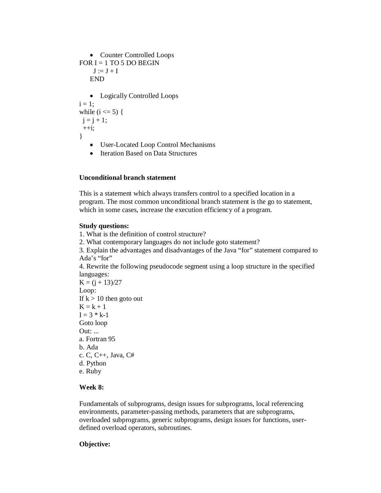```
• Counter Controlled Loops
FOR I = 1 TO 5 DO BEGIN
    J := J + I END
    Logically Controlled Loops
i = 1;
while (i \leq 5) {
j = j + 1;++i;}
    User-Located Loop Control Mechanisms
```
• Iteration Based on Data Structures

#### **Unconditional branch statement**

This is a statement which always transfers control to a specified location in a program. The most common unconditional branch statement is the go to statement, which in some cases, increase the execution efficiency of a program.

#### **Study questions:**

1. What is the definition of control structure?

2. What contemporary languages do not include goto statement?

3. Explain the advantages and disadvantages of the Java "for" statement compared to Ada's "for"

4. Rewrite the following pseudocode segment using a loop structure in the specified languages:

 $K = (j + 13)/27$ Loop: If  $k > 10$  then goto out  $K = k + 1$  $I = 3 * k-1$ Goto loop Out: ... a. Fortran 95 b. Ada c. C, C++, Java, C# d. Python e. Ruby

## **Week 8:**

Fundamentals of subprograms, design issues for subprograms, local referencing environments, parameter-passing methods, parameters that are subprograms, overloaded subprograms, generic subprograms, design issues for functions, userdefined overload operators, subroutines.

#### **Objective:**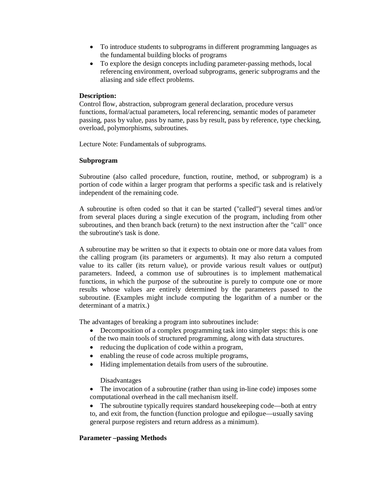- To introduce students to subprograms in different programming languages as the fundamental building blocks of programs
- To explore the design concepts including parameter-passing methods, local referencing environment, overload subprograms, generic subprograms and the aliasing and side effect problems.

# **Description:**

Control flow, abstraction, subprogram general declaration, procedure versus functions, formal/actual parameters, local referencing, semantic modes of parameter passing, pass by value, pass by name, pass by result, pass by reference, type checking, overload, polymorphisms, subroutines.

Lecture Note: Fundamentals of subprograms.

#### **Subprogram**

Subroutine (also called procedure, function, routine, method, or subprogram) is a portion of code within a larger program that performs a specific task and is relatively independent of the remaining code.

A subroutine is often coded so that it can be started ("called") several times and/or from several places during a single execution of the program, including from other subroutines, and then branch back (return) to the next instruction after the "call" once the subroutine's task is done.

A subroutine may be written so that it expects to obtain one or more data values from the calling program (its parameters or arguments). It may also return a computed value to its caller (its return value), or provide various result values or out(put) parameters. Indeed, a common use of subroutines is to implement mathematical functions, in which the purpose of the subroutine is purely to compute one or more results whose values are entirely determined by the parameters passed to the subroutine. (Examples might include computing the logarithm of a number or the determinant of a matrix.)

The advantages of breaking a program into subroutines include:

- Decomposition of a complex programming task into simpler steps: this is one
- of the two main tools of structured programming, along with data structures.
- reducing the duplication of code within a program,
- enabling the reuse of code across multiple programs,
- Hiding implementation details from users of the subroutine.

Disadvantages

- The invocation of a subroutine (rather than using in-line code) imposes some computational overhead in the call mechanism itself.
- The subroutine typically requires standard house keeping code—both at entry to, and exit from, the function (function prologue and epilogue—usually saving general purpose registers and return address as a minimum).

# **Parameter –passing Methods**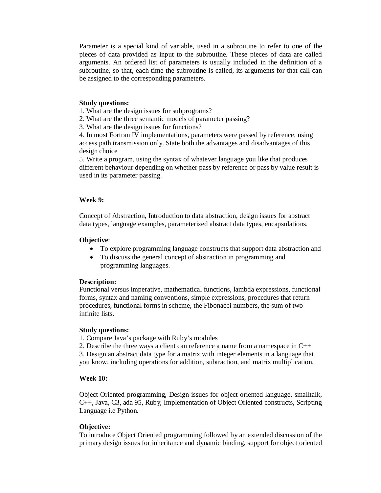Parameter is a special kind of variable, used in a subroutine to refer to one of the pieces of data provided as input to the subroutine. These pieces of data are called arguments. An ordered list of parameters is usually included in the definition of a subroutine, so that, each time the subroutine is called, its arguments for that call can be assigned to the corresponding parameters.

### **Study questions:**

- 1. What are the design issues for subprograms?
- 2. What are the three semantic models of parameter passing?
- 3. What are the design issues for functions?

4. In most Fortran IV implementations, parameters were passed by reference, using access path transmission only. State both the advantages and disadvantages of this design choice

5. Write a program, using the syntax of whatever language you like that produces different behaviour depending on whether pass by reference or pass by value result is used in its parameter passing.

#### **Week 9:**

Concept of Abstraction, Introduction to data abstraction, design issues for abstract data types, language examples, parameterized abstract data types, encapsulations.

#### **Objective**:

- To explore programming language constructs that support data abstraction and
- To discuss the general concept of abstraction in programming and programming languages.

#### **Description:**

Functional versus imperative, mathematical functions, lambda expressions, functional forms, syntax and naming conventions, simple expressions, procedures that return procedures, functional forms in scheme, the Fibonacci numbers, the sum of two infinite lists.

#### **Study questions:**

1. Compare Java's package with Ruby's modules

2. Describe the three ways a client can reference a name from a namespace in C++ 3. Design an abstract data type for a matrix with integer elements in a language that you know, including operations for addition, subtraction, and matrix multiplication.

# **Week 10:**

Object Oriented programming, Design issues for object oriented language, smalltalk, C++, Java, C3, ada 95, Ruby, Implementation of Object Oriented constructs, Scripting Language i.e Python.

# **Objective:**

To introduce Object Oriented programming followed by an extended discussion of the primary design issues for inheritance and dynamic binding, support for object oriented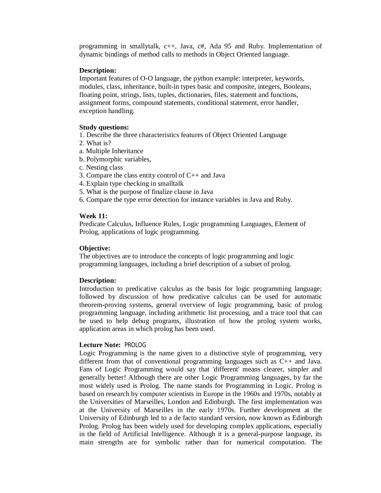programming in smallytalk, c++, Java, c#, Ada 95 and Ruby. Implementation of dynamic bindings of method calls to methods in Object Oriented language.

### **Description:**

Important features of O-O language, the python example: interpreter, keywords, modules, class, inheritance, built-in types basic and composite, integers, Booleans, floating point, strings, lists, tuples, dictionaries, files, statement and functions, assignment forms, compound statements, conditional statement, error handler, exception handling.

## **Study questions:**

- 1. Describe the three characteristics features of Object Oriented Language
- 2. What is?
- a. Multiple Inheritance
- b. Polymorphic variables,
- c. Nesting class
- 3. Compare the class entity control of C++ and Java
- 4. Explain type checking in smalltalk
- 5. What is the purpose of finalize clause in Java
- 6. Compare the type error detection for instance variables in Java and Ruby.

#### **Week 11:**

Predicate Calculus, Influence Rules, Logic programming Languages, Element of Prolog, applications of logic programming.

### **Objective:**

The objectives are to introduce the concepts of logic programming and logic programming languages, including a brief description of a subset of prolog.

# **Description:**

Introduction to predicative calculus as the basis for logic programming language; followed by discussion of how predicative calculus can be used for automatic theorem-proving systems, general overview of logic programming, basic of prolog programming language, including arithmetic list processing, and a trace tool that can be used to help debug programs, illustration of how the prolog system works, application areas in which prolog has been used.

# **Lecture Note:** PROLOG

Logic Programming is the name given to a distinctive style of programming, very different from that of conventional programming languages such as C++ and Java. Fans of Logic Programming would say that 'different' means clearer, simpler and generally better! Although there are other Logic Programming languages, by far the most widely used is Prolog. The name stands for Programming in Logic. Prolog is based on research by computer scientists in Europe in the 1960s and 1970s, notably at the Universities of Marseilles, London and Edinburgh. The first implementation was at the University of Marseilles in the early 1970s. Further development at the University of Edinburgh led to a de facto standard version, now known as Edinburgh Prolog. Prolog has been widely used for developing complex applications, especially in the field of Artificial Intelligence. Although it is a general-purpose language, its main strengths are for symbolic rather than for numerical computation. The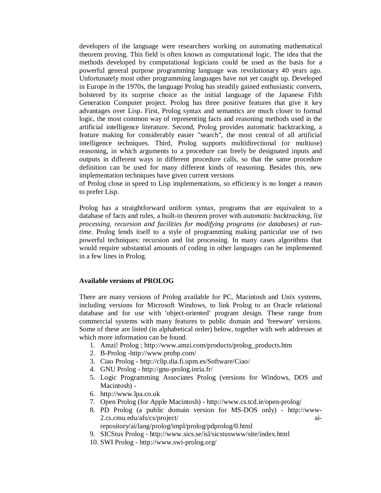developers of the language were researchers working on automating mathematical theorem proving. This field is often known as computational logic. The idea that the methods developed by computational logicians could be used as the basis for a powerful general purpose programming language was revolutionary 40 years ago. Unfortunately most other programming languages have not yet caught up. Developed in Europe in the 1970s, the language Prolog has steadily gained enthusiastic converts, bolstered by its surprise choice as the initial language of the Japanese Fifth Generation Computer project. Prolog has three positive features that give it key advantages over Lisp. First, Prolog syntax and semantics are much closer to formal logic, the most common way of representing facts and reasoning methods used in the artificial intelligence literature. Second, Prolog provides automatic backtracking, a feature making for considerably easier "search", the most central of all artificial intelligence techniques. Third, Prolog supports multidirectional (or multiuse) reasoning, in which arguments to a procedure can freely be designated inputs and outputs in different ways in different procedure calls, so that the same procedure definition can be used for many different kinds of reasoning. Besides this, new implementation techniques have given current versions

of Prolog close in speed to Lisp implementations, so efficiency is no longer a reason to prefer Lisp.

Prolog has a straightforward uniform syntax, programs that are equivalent to a database of facts and rules, a built-in theorem prover with *automatic backtracking, list processing, recursion and facilities for modifying programs (or databases) at runtime*. Prolog lends itself to a style of programming making particular use of two powerful techniques: recursion and list processing. In many cases algorithms that would require substantial amounts of coding in other languages can be implemented in a few lines in Prolog.

#### **Available versions of PROLOG**

There are many versions of Prolog available for PC, Macintosh and Unix systems, including versions for Microsoft Windows, to link Prolog to an Oracle relational database and for use with 'object-oriented' program design. These range from commercial systems with many features to public domain and 'freeware' versions. Some of these are listed (in alphabetical order) below, together with web addresses at which more information can be found.

- 1. Amzi! Prolog ; http://www.amzi.com/products/prolog\_products.htm
- 2. B-Prolog -http://www.probp.com/
- 3. Ciao Prolog http://clip.dia.fi.upm.es/Software/Ciao/
- 4. GNU Prolog http://gnu-prolog.inria.fr/
- 5. Logic Programming Associates Prolog (versions for Windows, DOS and Macintosh) -
- 6. http://www.lpa.co.uk
- 7. Open Prolog (for Apple Macintosh) http://www.cs.tcd.ie/open-prolog/
- 8. PD Prolog (a public domain version for MS-DOS only) http://www-2.cs.cmu.edu/afs/cs/project/ airepository/ai/lang/prolog/impl/prolog/pdprolog/0.html
- 9. SICStus Prolog http://www.sics.se/isl/sicstuswww/site/index.html
- 10. SWI Prolog http://www.swi-prolog.org/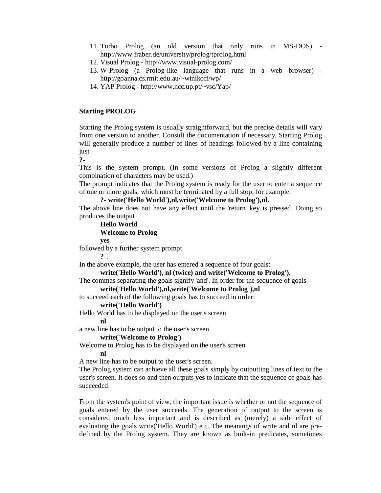- 11. Turbo Prolog (an old version that only runs in MS-DOS) http://www.fraber.de/university/prolog/tprolog.html
- 12. Visual Prolog http://www.visual-prolog.com/
- 13. W-Prolog (a Prolog-like language that runs in a web browser) http://goanna.cs.rmit.edu.au/~winikoff/wp/
- 14. YAP Prolog http://www.ncc.up.pt/~vsc/Yap/

# **Starting PROLOG**

Starting the Prolog system is usually straightforward, but the precise details will vary from one version to another. Consult the documentation if necessary. Starting Prolog will generally produce a number of lines of headings followed by a line containing just

**?-**

This is the system prompt. (In some versions of Prolog a slightly different combination of characters may be used.)

The prompt indicates that the Prolog system is ready for the user to enter a sequence of one or more goals, which must be terminated by a full stop, for example:

# **?- write('Hello World'),nl,write('Welcome to Prolog'),nl.**

The above line does not have any effect until the 'return' key is pressed. Doing so produces the output

**Hello World Welcome to Prolog yes** followed by a further system prompt **?-**. In the above example, the user has entered a sequence of four goals: **write('Hello World'), nl (twice) and write('Welcome to Prolog').**  The commas separating the goals signify 'and'. In order for the sequence of goals **write('Hello World'),nl,write('Welcome to Prolog'),nl** to succeed each of the following goals has to succeed in order: **write('Hello World')** Hello World has to be displayed on the user's screen **nl** a new line has to be output to the user's screen **write('Welcome to Prolog')**

Welcome to Prolog has to be displayed on the user's screen

# **nl**

A new line has to be output to the user's screen.

The Prolog system can achieve all these goals simply by outputting lines of text to the user's screen. It does so and then outputs **yes** to indicate that the sequence of goals has succeeded.

From the system's point of view, the important issue is whether or not the sequence of goals entered by the user succeeds. The generation of output to the screen is considered much less important and is described as (merely) a side effect of evaluating the goals write('Hello World') etc. The meanings of write and nl are predefined by the Prolog system. They are known as built-in predicates, sometimes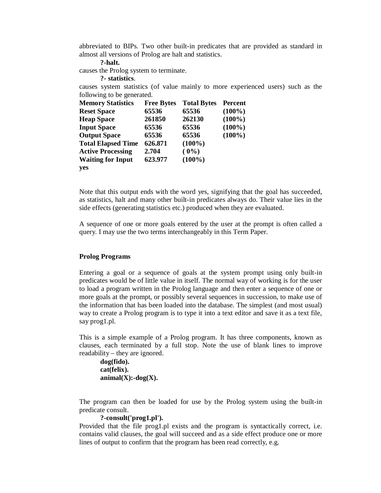abbreviated to BIPs. Two other built-in predicates that are provided as standard in almost all versions of Prolog are halt and statistics.

**?-halt.**

causes the Prolog system to terminate.

**?- statistics**.

causes system statistics (of value mainly to more experienced users) such as the following to be generated.

| <b>Memory Statistics</b>  | <b>Free Bytes</b> | <b>Total Bytes</b> | <b>Percent</b> |
|---------------------------|-------------------|--------------------|----------------|
| <b>Reset Space</b>        | 65536             | 65536              | $(100\%)$      |
| <b>Heap Space</b>         | 261850            | 262130             | $(100\%)$      |
| <b>Input Space</b>        | 65536             | 65536              | $(100\%)$      |
| <b>Output Space</b>       | 65536             | 65536              | $(100\%)$      |
| <b>Total Elapsed Time</b> | 626.871           | $(100\%)$          |                |
| <b>Active Processing</b>  | 2.704             | $(0\%)$            |                |
| <b>Waiting for Input</b>  | 623.977           | $(100\%)$          |                |
| yes                       |                   |                    |                |

Note that this output ends with the word yes, signifying that the goal has succeeded, as statistics, halt and many other built-in predicates always do. Their value lies in the side effects (generating statistics etc.) produced when they are evaluated.

A sequence of one or more goals entered by the user at the prompt is often called a query. I may use the two terms interchangeably in this Term Paper.

#### **Prolog Programs**

Entering a goal or a sequence of goals at the system prompt using only built-in predicates would be of little value in itself. The normal way of working is for the user to load a program written in the Prolog language and then enter a sequence of one or more goals at the prompt, or possibly several sequences in succession, to make use of the information that has been loaded into the database. The simplest (and most usual) way to create a Prolog program is to type it into a text editor and save it as a text file, say prog1.pl.

This is a simple example of a Prolog program. It has three components, known as clauses, each terminated by a full stop. Note the use of blank lines to improve readability – they are ignored.

```
dog(fido).
cat(felix).
\mathbf{animal}(X):-\mathbf{dog}(X).
```
The program can then be loaded for use by the Prolog system using the built-in predicate consult.

**?-consult('prog1.pl').**

Provided that the file prog1.pl exists and the program is syntactically correct, i.e. contains valid clauses, the goal will succeed and as a side effect produce one or more lines of output to confirm that the program has been read correctly, e.g.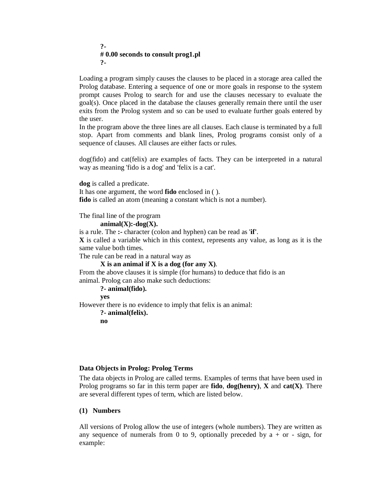```
?-
# 0.00 seconds to consult prog1.pl
?-
```
Loading a program simply causes the clauses to be placed in a storage area called the Prolog database. Entering a sequence of one or more goals in response to the system prompt causes Prolog to search for and use the clauses necessary to evaluate the goal(s). Once placed in the database the clauses generally remain there until the user exits from the Prolog system and so can be used to evaluate further goals entered by the user.

In the program above the three lines are all clauses. Each clause is terminated by a full stop. Apart from comments and blank lines, Prolog programs consist only of a sequence of clauses. All clauses are either facts or rules.

dog(fido) and cat(felix) are examples of facts. They can be interpreted in a natural way as meaning 'fido is a dog' and 'felix is a cat'.

**dog** is called a predicate. It has one argument, the word **fido** enclosed in ( ). **fido** is called an atom (meaning a constant which is not a number).

The final line of the program

```
\mathbf{animal}(X):-\mathbf{dog}(X).
```
is a rule. The **:-** character (colon and hyphen) can be read as '**if'**.

**X** is called a variable which in this context, represents any value, as long as it is the same value both times.

The rule can be read in a natural way as

```
X is an animal if X is a dog (for any X).
From the above clauses it is simple (for humans) to deduce that fido is an
animal. Prolog can also make such deductions:
```
**?- animal(fido).**

**yes**

However there is no evidence to imply that felix is an animal:

**?- animal(felix).**

**no**

# **Data Objects in Prolog: Prolog Terms**

The data objects in Prolog are called terms. Examples of terms that have been used in Prolog programs so far in this term paper are **fido**,  $\log(\text{henry})$ , **X** and  $\text{cat}(X)$ . There are several different types of term, which are listed below.

# **(1) Numbers**

All versions of Prolog allow the use of integers (whole numbers). They are written as any sequence of numerals from 0 to 9, optionally preceded by  $a + or - sign$ , for example: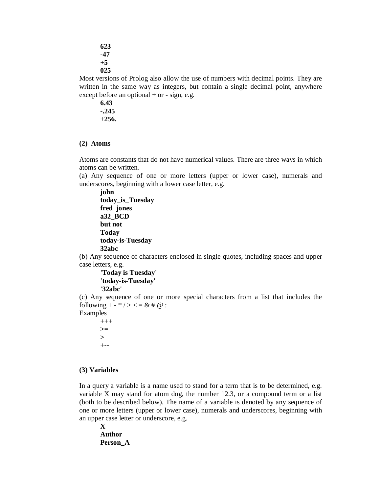**623 -47 +5 025**

Most versions of Prolog also allow the use of numbers with decimal points. They are written in the same way as integers, but contain a single decimal point, anywhere except before an optional  $+$  or  $-$  sign, e.g.

**6.43 -.245 +256.**

# **(2) Atoms**

Atoms are constants that do not have numerical values. There are three ways in which atoms can be written.

(a) Any sequence of one or more letters (upper or lower case), numerals and underscores, beginning with a lower case letter, e.g.

**john today\_is\_Tuesday fred\_jones a32\_BCD but not Today today-is-Tuesday 32abc**

(b) Any sequence of characters enclosed in single quotes, including spaces and upper case letters, e.g.

**'Today is Tuesday' 'today-is-Tuesday' '32abc'**

(c) Any sequence of one or more special characters from a list that includes the following + - \* / > < = & # @ :

Examples

**+++ >= > +--**

#### **(3) Variables**

In a query a variable is a name used to stand for a term that is to be determined, e.g. variable X may stand for atom dog, the number 12.3, or a compound term or a list (both to be described below). The name of a variable is denoted by any sequence of one or more letters (upper or lower case), numerals and underscores, beginning with an upper case letter or underscore, e.g.

**X Author Person\_A**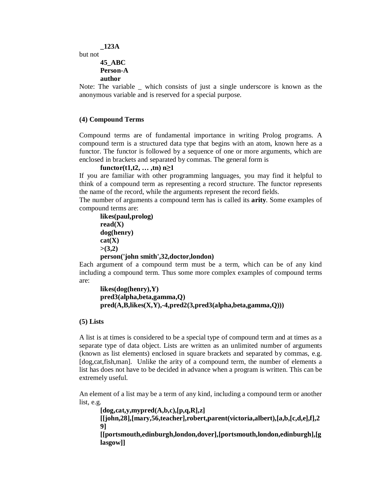**\_123A**

but not

#### **45\_ABC Person-A author**

Note: The variable \_ which consists of just a single underscore is known as the anonymous variable and is reserved for a special purpose.

# **(4) Compound Terms**

Compound terms are of fundamental importance in writing Prolog programs. A compound term is a structured data type that begins with an atom, known here as a functor. The functor is followed by a sequence of one or more arguments, which are enclosed in brackets and separated by commas. The general form is

# **functor(t1,t2, … ,tn) n≥1**

If you are familiar with other programming languages, you may find it helpful to think of a compound term as representing a record structure. The functor represents the name of the record, while the arguments represent the record fields.

The number of arguments a compound term has is called its **arity**. Some examples of compound terms are:

```
likes(paul,prolog)
read(X)
dog(henry)
cat(X)
>(3,2)
person('john smith',32,doctor,london)
```
Each argument of a compound term must be a term, which can be of any kind including a compound term. Thus some more complex examples of compound terms are:

```
likes(dog(henry),Y)
pred3(alpha,beta,gamma,Q)
pred(A,B,likes(X,Y),-4,pred2(3,pred3(alpha,beta,gamma,Q)))
```
# **(5) Lists**

A list is at times is considered to be a special type of compound term and at times as a separate type of data object. Lists are written as an unlimited number of arguments (known as list elements) enclosed in square brackets and separated by commas, e.g. [dog,cat,fish,man]. Unlike the arity of a compound term, the number of elements a list has does not have to be decided in advance when a program is written. This can be extremely useful.

An element of a list may be a term of any kind, including a compound term or another list, e.g.

```
[dog,cat,y,mypred(A,b,c),[p,q,R],z]
[[john,28],[mary,56,teacher],robert,parent(victoria,albert),[a,b,[c,d,e],f],2
9]
[[portsmouth,edinburgh,london,dover],[portsmouth,london,edinburgh],[g
lasgow]]
```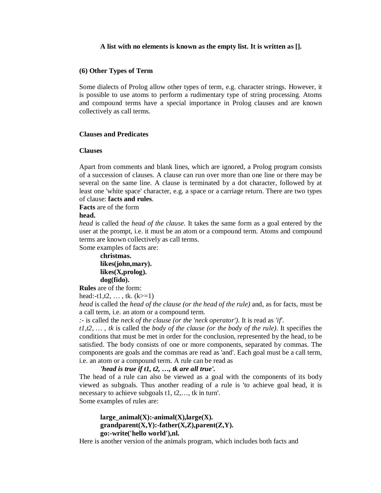#### **A list with no elements is known as the empty list. It is written as [].**

#### **(6) Other Types of Term**

Some dialects of Prolog allow other types of term, e.g. character strings. However, it is possible to use atoms to perform a rudimentary type of string processing. Atoms and compound terms have a special importance in Prolog clauses and are known collectively as call terms.

#### **Clauses and Predicates**

#### **Clauses**

Apart from comments and blank lines, which are ignored, a Prolog program consists of a succession of clauses. A clause can run over more than one line or there may be several on the same line. A clause is terminated by a dot character, followed by at least one 'white space' character, e.g. a space or a carriage return. There are two types of clause: **facts and rules**.

**Facts** are of the form

#### **head.**

*head* is called the *head of the clause*. It takes the same form as a goal entered by the user at the prompt, i.e. it must be an atom or a compound term. Atoms and compound terms are known collectively as call terms.

Some examples of facts are:

**christmas. likes(john,mary). likes(X,prolog). dog(fido).**

**Rules** are of the form:

head:-t1,t2, ..., tk.  $(k>=1)$ 

*head* is called the *head of the clause (or the head of the rule)* and, as for facts, must be a call term, i.e. an atom or a compound term.

*:-* is called the *neck of the clause (or the 'neck operator')*. It is read as *'if'*.

*t1,t2, … , tk* is called the *body of the clause (or the body of the rule)*. It specifies the conditions that must be met in order for the conclusion, represented by the head, to be satisfied. The body consists of one or more components, separated by commas. The components are goals and the commas are read as 'and'. Each goal must be a call term, i.e. an atom or a compound term. A rule can be read as

*'head is true if t1, t2, …, tk are all true'.*

The head of a rule can also be viewed as a goal with the components of its body viewed as subgoals. Thus another reading of a rule is 'to achieve goal head, it is necessary to achieve subgoals t1, t2,…, tk in turn'. Some examples of rules are:

**large\_animal(X):-animal(X),large(X). grandparent(X,Y):-father(X,Z),parent(Z,Y). go:-write('hello world'),nl.**

Here is another version of the animals program, which includes both facts and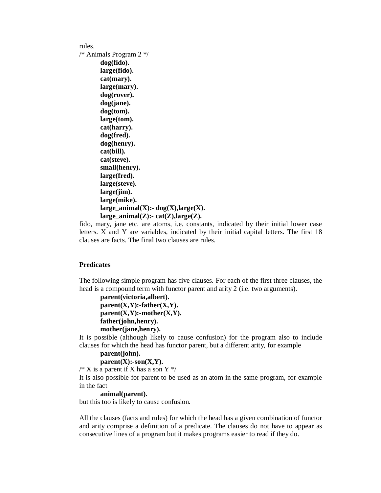rules. /\* Animals Program 2 \*/ **dog(fido). large(fido). cat(mary). large(mary). dog(rover). dog(jane). dog(tom). large(tom). cat(harry). dog(fred). dog(henry). cat(bill). cat(steve). small(henry). large(fred). large(steve). large(jim). large(mike). large\_animal(X):- dog(X),large(X).**  $large\_animal(Z): cat(Z), large(Z).$ 

fido, mary, jane etc. are atoms, i.e. constants, indicated by their initial lower case letters. X and Y are variables, indicated by their initial capital letters. The first 18 clauses are facts. The final two clauses are rules.

# **Predicates**

The following simple program has five clauses. For each of the first three clauses, the head is a compound term with functor parent and arity 2 (i.e. two arguments).

```
parent(victoria,albert).
parent(X,Y):-father(X,Y).
parent(X,Y):-mother(X,Y).
father(john,henry).
mother(jane,henry).
```
It is possible (although likely to cause confusion) for the program also to include clauses for which the head has functor parent, but a different arity, for example

# **parent(john).**

```
parent(X):son(X,Y).
```

```
/* X is a parent if X has a son Y */
```
It is also possible for parent to be used as an atom in the same program, for example in the fact

# **animal(parent).**

but this too is likely to cause confusion.

All the clauses (facts and rules) for which the head has a given combination of functor and arity comprise a definition of a predicate. The clauses do not have to appear as consecutive lines of a program but it makes programs easier to read if they do.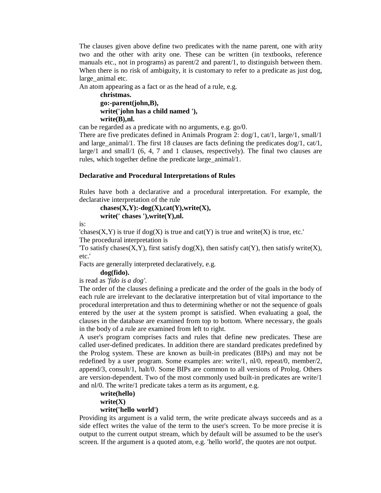The clauses given above define two predicates with the name parent, one with arity two and the other with arity one. These can be written (in textbooks, reference manuals etc., not in programs) as parent/2 and parent/1, to distinguish between them. When there is no risk of ambiguity, it is customary to refer to a predicate as just dog, large animal etc.

An atom appearing as a fact or as the head of a rule, e.g.

```
christmas.
go:-parent(john,B),
write('john has a child named '),
write(B),nl.
```
can be regarded as a predicate with no arguments, e.g. go/0.

There are five predicates defined in Animals Program 2: dog/1, cat/1, large/1, small/1 and large\_animal/1. The first 18 clauses are facts defining the predicates dog/1, cat/1, large/1 and small/1 (6, 4, 7 and 1 clauses, respectively). The final two clauses are rules, which together define the predicate large\_animal/1.

# **Declarative and Procedural Interpretations of Rules**

Rules have both a declarative and a procedural interpretation. For example, the declarative interpretation of the rule

```
chases(X,Y):-dog(X),cat(Y),write(X),
write(' chases '),write(Y),nl.
```
is:

'chases(X,Y) is true if  $deg(X)$  is true and cat(Y) is true and write(X) is true, etc.'

The procedural interpretation is

To satisfy chases(X,Y), first satisfy dog(X), then satisfy cat(Y), then satisfy write(X), etc.'

Facts are generally interpreted declaratively, e.g.

#### **dog(fido).**

is read as *'fido is a dog'*.

The order of the clauses defining a predicate and the order of the goals in the body of each rule are irrelevant to the declarative interpretation but of vital importance to the procedural interpretation and thus to determining whether or not the sequence of goals entered by the user at the system prompt is satisfied. When evaluating a goal, the clauses in the database are examined from top to bottom. Where necessary, the goals in the body of a rule are examined from left to right.

A user's program comprises facts and rules that define new predicates. These are called user-defined predicates. In addition there are standard predicates predefined by the Prolog system. These are known as built-in predicates (BIPs) and may not be redefined by a user program. Some examples are: write/1, nl/0, repeat/0, member/2, append/3, consult/1, halt/0. Some BIPs are common to all versions of Prolog. Others are version-dependent. Two of the most commonly used built-in predicates are write/1 and nl/0. The write/1 predicate takes a term as its argument, e.g.

```
write(hello)
write(X)
write('hello world')
```
Providing its argument is a valid term, the write predicate always succeeds and as a side effect writes the value of the term to the user's screen. To be more precise it is output to the current output stream, which by default will be assumed to be the user's screen. If the argument is a quoted atom, e.g. 'hello world', the quotes are not output.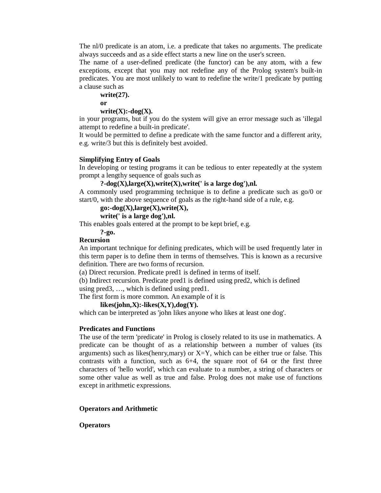The nl/0 predicate is an atom, i.e. a predicate that takes no arguments. The predicate always succeeds and as a side effect starts a new line on the user's screen.

The name of a user-defined predicate (the functor) can be any atom, with a few exceptions, except that you may not redefine any of the Prolog system's built-in predicates. You are most unlikely to want to redefine the write/1 predicate by putting a clause such as

#### **write(27).**

**or**

#### $write(X):dog(X).$

in your programs, but if you do the system will give an error message such as 'illegal attempt to redefine a built-in predicate'.

It would be permitted to define a predicate with the same functor and a different arity, e.g. write/3 but this is definitely best avoided.

#### **Simplifying Entry of Goals**

In developing or testing programs it can be tedious to enter repeatedly at the system prompt a lengthy sequence of goals such as

**?-dog(X),large(X),write(X),write(' is a large dog'),nl.**

A commonly used programming technique is to define a predicate such as go/0 or start/0, with the above sequence of goals as the right-hand side of a rule, e.g.

#### **go:-dog(X),large(X),write(X),**

#### **write(' is a large dog'),nl.**

This enables goals entered at the prompt to be kept brief, e.g.

**?-go.**

# **Recursion**

An important technique for defining predicates, which will be used frequently later in this term paper is to define them in terms of themselves. This is known as a recursive definition. There are two forms of recursion.

(a) Direct recursion. Predicate pred1 is defined in terms of itself.

(b) Indirect recursion. Predicate pred1 is defined using pred2, which is defined

using pred3, …, which is defined using pred1.

The first form is more common. An example of it is

# **likes(john,X):-likes(X,Y),dog(Y).**

which can be interpreted as 'john likes anyone who likes at least one dog'.

#### **Predicates and Functions**

The use of the term 'predicate' in Prolog is closely related to its use in mathematics. A predicate can be thought of as a relationship between a number of values (its arguments) such as likes(henry, mary) or  $X = Y$ , which can be either true or false. This contrasts with a function, such as 6+4, the square root of 64 or the first three characters of 'hello world', which can evaluate to a number, a string of characters or some other value as well as true and false. Prolog does not make use of functions except in arithmetic expressions.

#### **Operators and Arithmetic**

#### **Operators**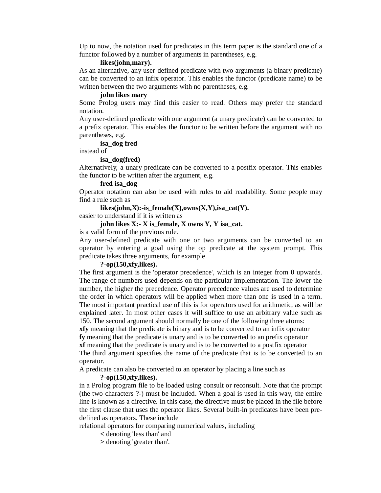Up to now, the notation used for predicates in this term paper is the standard one of a functor followed by a number of arguments in parentheses, e.g.

#### **likes(john,mary).**

As an alternative, any user-defined predicate with two arguments (a binary predicate) can be converted to an infix operator. This enables the functor (predicate name) to be written between the two arguments with no parentheses, e.g.

#### **john likes mary**

Some Prolog users may find this easier to read. Others may prefer the standard notation.

Any user-defined predicate with one argument (a unary predicate) can be converted to a prefix operator. This enables the functor to be written before the argument with no parentheses, e.g.

# **isa\_dog fred**

instead of

#### **isa\_dog(fred)**

Alternatively, a unary predicate can be converted to a postfix operator. This enables the functor to be written after the argument, e.g.

#### **fred isa\_dog**

Operator notation can also be used with rules to aid readability. Some people may find a rule such as

#### **likes(john,X):-is\_female(X),owns(X,Y),isa\_cat(Y).**

easier to understand if it is written as

# **john likes X:- X is\_female, X owns Y, Y isa\_cat.**

is a valid form of the previous rule.

Any user-defined predicate with one or two arguments can be converted to an operator by entering a goal using the op predicate at the system prompt. This predicate takes three arguments, for example

## **?-op(150,xfy,likes).**

The first argument is the 'operator precedence', which is an integer from 0 upwards. The range of numbers used depends on the particular implementation. The lower the number, the higher the precedence. Operator precedence values are used to determine the order in which operators will be applied when more than one is used in a term. The most important practical use of this is for operators used for arithmetic, as will be explained later. In most other cases it will suffice to use an arbitrary value such as 150. The second argument should normally be one of the following three atoms:

**xfy** meaning that the predicate is binary and is to be converted to an infix operator **fy** meaning that the predicate is unary and is to be converted to an prefix operator **xf** meaning that the predicate is unary and is to be converted to a postfix operator The third argument specifies the name of the predicate that is to be converted to an operator.

A predicate can also be converted to an operator by placing a line such as

#### **?-op(150,xfy,likes).**

in a Prolog program file to be loaded using consult or reconsult. Note that the prompt (the two characters ?-) must be included. When a goal is used in this way, the entire line is known as a directive. In this case, the directive must be placed in the file before the first clause that uses the operator likes. Several built-in predicates have been predefined as operators. These include

relational operators for comparing numerical values, including

**<** denoting 'less than' and

**>** denoting 'greater than'.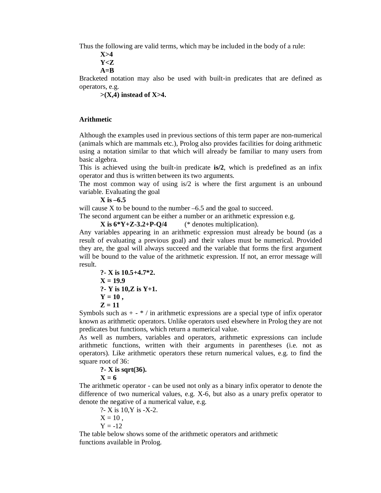Thus the following are valid terms, which may be included in the body of a rule:

**X>4 Y<Z**

 $A=$ **B** 

Bracketed notation may also be used with built-in predicates that are defined as operators, e.g.

**>(X,4) instead of X>4.**

# **Arithmetic**

Although the examples used in previous sections of this term paper are non-numerical (animals which are mammals etc.), Prolog also provides facilities for doing arithmetic using a notation similar to that which will already be familiar to many users from basic algebra.

This is achieved using the built-in predicate **is/2**, which is predefined as an infix operator and thus is written between its two arguments.

The most common way of using is/2 is where the first argument is an unbound variable. Evaluating the goal

**X is –6.5**

will cause X to be bound to the number –6.5 and the goal to succeed.

The second argument can be either a number or an arithmetic expression e.g.

 $X$  is  $6*Y+Z-3.2+P-Q/4$  (\* denotes multiplication).

Any variables appearing in an arithmetic expression must already be bound (as a result of evaluating a previous goal) and their values must be numerical. Provided they are, the goal will always succeed and the variable that forms the first argument will be bound to the value of the arithmetic expression. If not, an error message will result.

**?- X is 10.5+4.7\*2. X = 19.9 ?- Y is 10,Z is Y+1. Y = 10 , Z = 11**

Symbols such as  $+ - * /$  in arithmetic expressions are a special type of infix operator known as arithmetic operators. Unlike operators used elsewhere in Prolog they are not predicates but functions, which return a numerical value.

As well as numbers, variables and operators, arithmetic expressions can include arithmetic functions, written with their arguments in parentheses (i.e. not as operators). Like arithmetic operators these return numerical values, e.g. to find the square root of 36:

# **?- X is sqrt(36).**

**X = 6**

The arithmetic operator - can be used not only as a binary infix operator to denote the difference of two numerical values, e.g. X-6, but also as a unary prefix operator to denote the negative of a numerical value, e.g.

?- X is 10,Y is -X-2.  $X = 10$ .  $Y = -12$ 

The table below shows some of the arithmetic operators and arithmetic functions available in Prolog.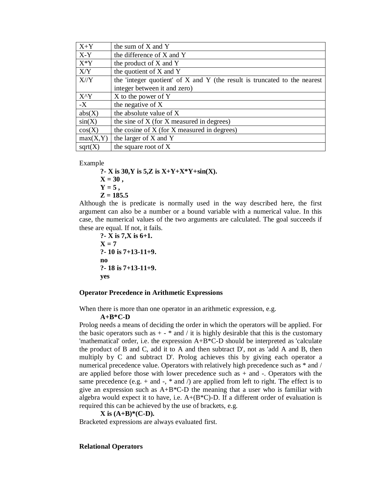| $X+Y$         | the sum of X and Y                                                            |
|---------------|-------------------------------------------------------------------------------|
| $X-Y$         | the difference of X and Y                                                     |
| $X^*Y$        | the product of X and Y                                                        |
| X/Y           | the quotient of X and Y                                                       |
| $X/\!/Y$      | the 'integer quotient' of $X$ and $Y$ (the result is truncated to the nearest |
|               | integer between it and zero)                                                  |
| $X^{\wedge}Y$ | X to the power of Y                                                           |
| $-X$          | the negative of $X$                                                           |
| abs(X)        | the absolute value of X                                                       |
| sin(X)        | the sine of X (for X measured in degrees)                                     |
| cos(X)        | the cosine of X (for X measured in degrees)                                   |
| max(X, Y)     | the larger of X and Y                                                         |
| sqrt(X)       | the square root of $X$                                                        |

Example

**?- X is 30,Y is 5,Z is X+Y+X\*Y+sin(X).**  $X = 30$ ,  $Y = 5$ , **Z = 185.5**

Although the is predicate is normally used in the way described here, the first argument can also be a number or a bound variable with a numerical value. In this case, the numerical values of the two arguments are calculated. The goal succeeds if these are equal. If not, it fails.

**?- X is 7,X is 6+1. X = 7 ?- 10 is 7+13-11+9. no ?- 18 is 7+13-11+9. yes**

# **Operator Precedence in Arithmetic Expressions**

When there is more than one operator in an arithmetic expression, e.g.

**A+B\*C-D**

Prolog needs a means of deciding the order in which the operators will be applied. For the basic operators such as  $+ -$  \* and / it is highly desirable that this is the customary 'mathematical' order, i.e. the expression A+B\*C-D should be interpreted as 'calculate the product of B and C, add it to A and then subtract D', not as 'add A and B, then multiply by C and subtract D'. Prolog achieves this by giving each operator a numerical precedence value. Operators with relatively high precedence such as \* and / are applied before those with lower precedence such as  $+$  and  $-$ . Operators with the same precedence (e.g.  $+$  and  $-$ ,  $*$  and  $\prime$ ) are applied from left to right. The effect is to give an expression such as  $A+B*C-D$  the meaning that a user who is familiar with algebra would expect it to have, i.e.  $A+(B*C)-D$ . If a different order of evaluation is required this can be achieved by the use of brackets, e.g.

 $X$  is  $(A+B)*(C-D)$ .

Bracketed expressions are always evaluated first.

**Relational Operators**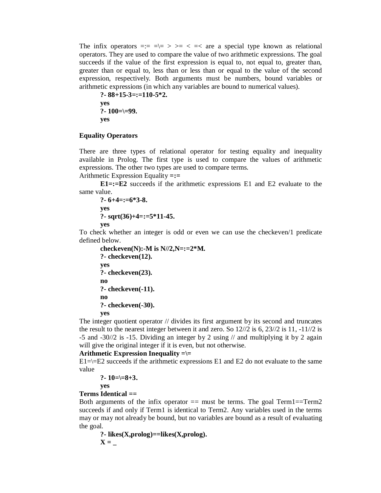The infix operators  $= := \ge$  > >  $=$  <  $=$  are a special type known as relational operators. They are used to compare the value of two arithmetic expressions. The goal succeeds if the value of the first expression is equal to, not equal to, greater than, greater than or equal to, less than or less than or equal to the value of the second expression, respectively. Both arguments must be numbers, bound variables or arithmetic expressions (in which any variables are bound to numerical values).

**?- 88+15-3=:=110-5\*2. yes ?- 100=\=99. yes**

# **Equality Operators**

There are three types of relational operator for testing equality and inequality available in Prolog. The first type is used to compare the values of arithmetic expressions. The other two types are used to compare terms.

Arithmetic Expression Equality **=:=**

**E1=:=E2** succeeds if the arithmetic expressions E1 and E2 evaluate to the same value.

```
?- 6+4=:=6*3-8.
yes
?- sqrt(36)+4=:=5*11-45.
yes
```
To check whether an integer is odd or even we can use the checkeven/1 predicate defined below.

```
checkeven(N):-M is N/2, N = := 2^*M.
?- checkeven(12).
yes
?- checkeven(23).
no
?- checkeven(-11).
no
?- checkeven(-30).
yes
```
The integer quotient operator // divides its first argument by its second and truncates the result to the nearest integer between it and zero. So  $12/2$  is 6,  $23/2$  is 11,  $-11/2$  is -5 and -30//2 is -15. Dividing an integer by 2 using // and multiplying it by 2 again will give the original integer if it is even, but not otherwise.

# **Arithmetic Expression Inequality =\=**

 $E1=\equiv E2$  succeeds if the arithmetic expressions E1 and E2 do not evaluate to the same value

**?- 10=\=8+3. yes**

# **Terms Identical ==**

Both arguments of the infix operator  $==$  must be terms. The goal Term1 $==$ Term2 succeeds if and only if Term1 is identical to Term2. Any variables used in the terms may or may not already be bound, but no variables are bound as a result of evaluating the goal.

**?- likes(X,prolog)==likes(X,prolog). X = \_**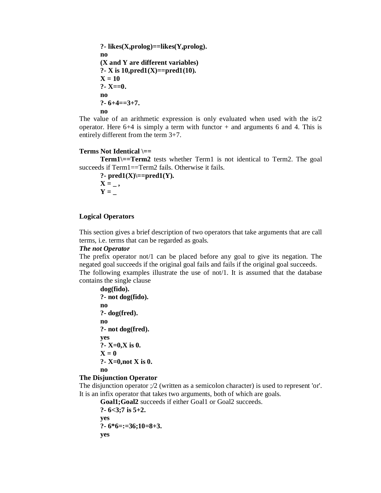```
?- likes(X,prolog)==likes(Y,prolog).
no
(X and Y are different variables)
?- X is 10,pred1(X)==pred1(10).
X = 10?- X==0.
no
?- 6+4==3+7.
no
```
The value of an arithmetic expression is only evaluated when used with the is/2 operator. Here  $6+4$  is simply a term with functor  $+$  and arguments 6 and 4. This is entirely different from the term 3+7.

#### **Terms Not Identical \==**

**Term1\==Term2** tests whether Term1 is not identical to Term2. The goal succeeds if Term1==Term2 fails. Otherwise it fails.

**?- pred1(X)\==pred1(Y).**  $X =$ ,  $Y = \_$ 

### **Logical Operators**

This section gives a brief description of two operators that take arguments that are call terms, i.e. terms that can be regarded as goals.

#### *The not Operator*

The prefix operator not/1 can be placed before any goal to give its negation. The negated goal succeeds if the original goal fails and fails if the original goal succeeds. The following examples illustrate the use of not  $/1$ . It is assumed that the database contains the single clause

```
dog(fido).
?- not dog(fido).
no
?- dog(fred).
no
?- not dog(fred).
yes
?- X=0,X is 0.
X = 0
?- X=0,not X is 0.
no
```
# **The Disjunction Operator**

The disjunction operator ;/2 (written as a semicolon character) is used to represent 'or'. It is an infix operator that takes two arguments, both of which are goals.

**Goal1;Goal2** succeeds if either Goal1 or Goal2 succeeds. **?- 6<3;7 is 5+2. yes ?- 6\*6=:=36;10=8+3. yes**